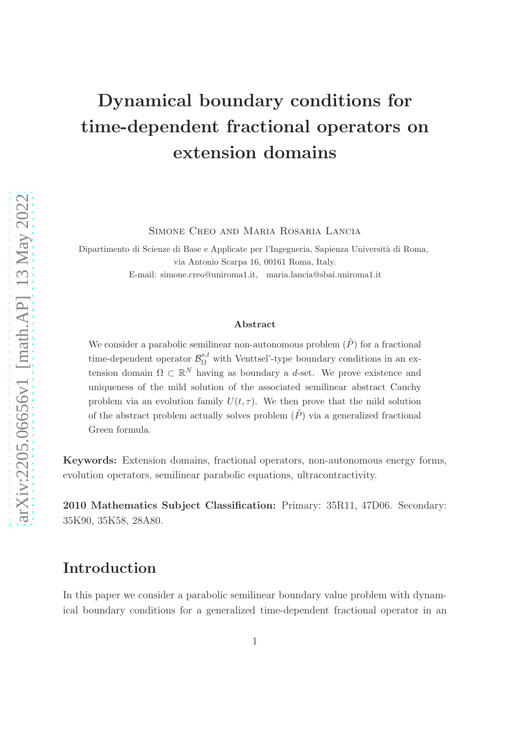# Dynamical boundary conditions for time-dependent fractional operators on extension domains

Simone Creo and Maria Rosaria Lancia

Dipartimento di Scienze di Base e Applicate per l'Ingegneria, Sapienza Università di Roma, via Antonio Scarpa 16, 00161 Roma, Italy. E-mail: simone.creo@uniroma1.it, maria.lancia@sbai.uniroma1.it

#### Abstract

We consider a parabolic semilinear non-autonomous problem  $(\tilde{P})$  for a fractional time-dependent operator  $\mathcal{B}_{\Omega}^{s,t}$  with Venttsel'-type boundary conditions in an extension domain  $\Omega \subset \mathbb{R}^N$  having as boundary a d-set. We prove existence and uniqueness of the mild solution of the associated semilinear abstract Cauchy problem via an evolution family  $U(t, \tau)$ . We then prove that the mild solution of the abstract problem actually solves problem  $(\tilde{P})$  via a generalized fractional Green formula.

Keywords: Extension domains, fractional operators, non-autonomous energy forms, evolution operators, semilinear parabolic equations, ultracontractivity.

2010 Mathematics Subject Classification: Primary: 35R11, 47D06. Secondary: 35K90, 35K58, 28A80.

### Introduction

In this paper we consider a parabolic semilinear boundary value problem with dynamical boundary conditions for a generalized time-dependent fractional operator in an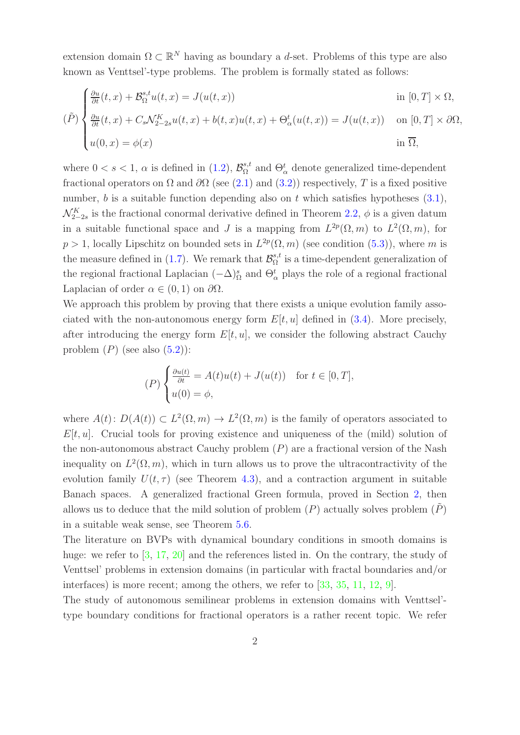extension domain  $\Omega \subset \mathbb{R}^N$  having as boundary a d-set. Problems of this type are also known as Venttsel'-type problems. The problem is formally stated as follows:

$$
(\tilde{P})\begin{cases} \frac{\partial u}{\partial t}(t,x) + \mathcal{B}_{\Omega}^{s,t}u(t,x) = J(u(t,x)) & \text{in } [0,T] \times \Omega, \\ \frac{\partial u}{\partial t}(t,x) + C_s \mathcal{N}_{2-2s}^K u(t,x) + b(t,x)u(t,x) + \Theta_{\alpha}^t(u(t,x)) = J(u(t,x)) & \text{on } [0,T] \times \partial\Omega, \\ u(0,x) = \phi(x) & \text{in } \overline{\Omega}, \end{cases}
$$

where  $0 < s < 1$ ,  $\alpha$  is defined in [\(1.2\)](#page-5-0),  $\mathcal{B}_{\Omega}^{s,t}$  $S_{\alpha}^{s,t}$  and  $\Theta_{\alpha}^{t}$  denote generalized time-dependent fractional operators on  $\Omega$  and  $\partial\Omega$  (see [\(2.1\)](#page-8-0) and [\(3.2\)](#page-11-0)) respectively, T is a fixed positive number, b is a suitable function depending also on t which satisfies hypotheses  $(3.1)$ ,  $\mathcal{N}_{2-2s}^K$  is the fractional conormal derivative defined in Theorem [2.2,](#page-9-0)  $\phi$  is a given datum in a suitable functional space and J is a mapping from  $L^{2p}(\Omega,m)$  to  $L^{2}(\Omega,m)$ , for  $p > 1$ , locally Lipschitz on bounded sets in  $L^{2p}(\Omega, m)$  (see condition [\(5.3\)](#page-20-0)), where m is the measure defined in [\(1.7\)](#page-6-0). We remark that  $\mathcal{B}_{\Omega}^{s,t}$  $S_{\Omega}^{s,t}$  is a time-dependent generalization of the regional fractional Laplacian  $(-\Delta)_{\Omega}^s$  and  $\Theta_{\alpha}^t$  plays the role of a regional fractional Laplacian of order  $\alpha \in (0,1)$  on  $\partial \Omega$ .

We approach this problem by proving that there exists a unique evolution family associated with the non-autonomous energy form  $E[t, u]$  defined in [\(3.4\)](#page-11-1). More precisely, after introducing the energy form  $E[t, u]$ , we consider the following abstract Cauchy problem  $(P)$  (see also  $(5.2)$ ):

$$
(P)\begin{cases} \frac{\partial u(t)}{\partial t} = A(t)u(t) + J(u(t)) & \text{for } t \in [0, T], \\ u(0) = \phi, \end{cases}
$$

where  $A(t)$ :  $D(A(t)) \subset L^2(\Omega, m) \to L^2(\Omega, m)$  is the family of operators associated to  $E[t, u]$ . Crucial tools for proving existence and uniqueness of the (mild) solution of the non-autonomous abstract Cauchy problem  $(P)$  are a fractional version of the Nash inequality on  $L^2(\Omega, m)$ , which in turn allows us to prove the ultracontractivity of the evolution family  $U(t, \tau)$  (see Theorem [4.3\)](#page-17-0), and a contraction argument in suitable Banach spaces. A generalized fractional Green formula, proved in Section [2,](#page-7-0) then allows us to deduce that the mild solution of problem  $(P)$  actually solves problem  $(P)$ in a suitable weak sense, see Theorem [5.6.](#page-25-0)

The literature on BVPs with dynamical boundary conditions in smooth domains is huge: we refer to  $\left[3, 17, 20\right]$  $\left[3, 17, 20\right]$  $\left[3, 17, 20\right]$  and the references listed in. On the contrary, the study of Venttsel' problems in extension domains (in particular with fractal boundaries and/or interfaces) is more recent; among the others, we refer to [\[33,](#page-28-1) [35,](#page-28-2) [11,](#page-27-2) [12,](#page-27-3) [9\]](#page-27-4).

The study of autonomous semilinear problems in extension domains with Venttsel' type boundary conditions for fractional operators is a rather recent topic. We refer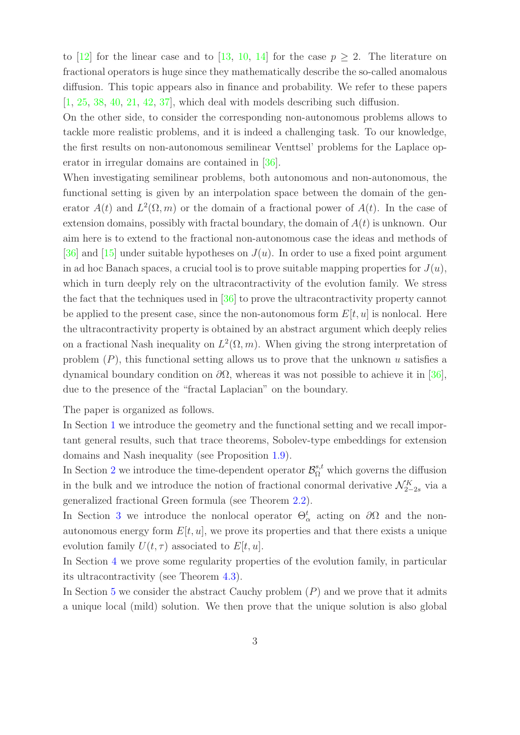to [\[12\]](#page-27-3) for the linear case and to [\[13,](#page-27-5) [10,](#page-27-6) [14\]](#page-27-7) for the case  $p \geq 2$ . The literature on fractional operators is huge since they mathematically describe the so-called anomalous diffusion. This topic appears also in finance and probability. We refer to these papers [\[1,](#page-26-0) [25,](#page-28-3) [38,](#page-29-0) [40,](#page-29-1) [21,](#page-28-4) [42,](#page-29-2) [37\]](#page-29-3), which deal with models describing such diffusion.

On the other side, to consider the corresponding non-autonomous problems allows to tackle more realistic problems, and it is indeed a challenging task. To our knowledge, the first results on non-autonomous semilinear Venttsel' problems for the Laplace operator in irregular domains are contained in [\[36\]](#page-29-4).

When investigating semilinear problems, both autonomous and non-autonomous, the functional setting is given by an interpolation space between the domain of the generator  $A(t)$  and  $L^2(\Omega,m)$  or the domain of a fractional power of  $A(t)$ . In the case of extension domains, possibly with fractal boundary, the domain of  $A(t)$  is unknown. Our aim here is to extend to the fractional non-autonomous case the ideas and methods of [\[36\]](#page-29-4) and [\[15\]](#page-27-8) under suitable hypotheses on  $J(u)$ . In order to use a fixed point argument in ad hoc Banach spaces, a crucial tool is to prove suitable mapping properties for  $J(u)$ , which in turn deeply rely on the ultracontractivity of the evolution family. We stress the fact that the techniques used in [\[36\]](#page-29-4) to prove the ultracontractivity property cannot be applied to the present case, since the non-autonomous form  $E[t, u]$  is nonlocal. Here the ultracontractivity property is obtained by an abstract argument which deeply relies on a fractional Nash inequality on  $L^2(\Omega, m)$ . When giving the strong interpretation of problem  $(P)$ , this functional setting allows us to prove that the unknown u satisfies a dynamical boundary condition on ∂Ω, whereas it was not possible to achieve it in [\[36\]](#page-29-4), due to the presence of the "fractal Laplacian" on the boundary.

The paper is organized as follows.

In Section [1](#page-3-0) we introduce the geometry and the functional setting and we recall important general results, such that trace theorems, Sobolev-type embeddings for extension domains and Nash inequality (see Proposition [1.9\)](#page-6-1).

In Section [2](#page-7-0) we introduce the time-dependent operator  $\mathcal{B}_{\Omega}^{s,t}$  which governs the diffusion in the bulk and we introduce the notion of fractional conormal derivative  $\mathcal{N}_{2-2s}^K$  via a generalized fractional Green formula (see Theorem [2.2\)](#page-9-0).

In Section [3](#page-10-1) we introduce the nonlocal operator  $\Theta_{\alpha}^{t}$  acting on  $\partial\Omega$  and the nonautonomous energy form  $E[t, u]$ , we prove its properties and that there exists a unique evolution family  $U(t, \tau)$  associated to  $E[t, u]$ .

In Section [4](#page-16-0) we prove some regularity properties of the evolution family, in particular its ultracontractivity (see Theorem [4.3\)](#page-17-0).

In Section [5](#page-19-0) we consider the abstract Cauchy problem  $(P)$  and we prove that it admits a unique local (mild) solution. We then prove that the unique solution is also global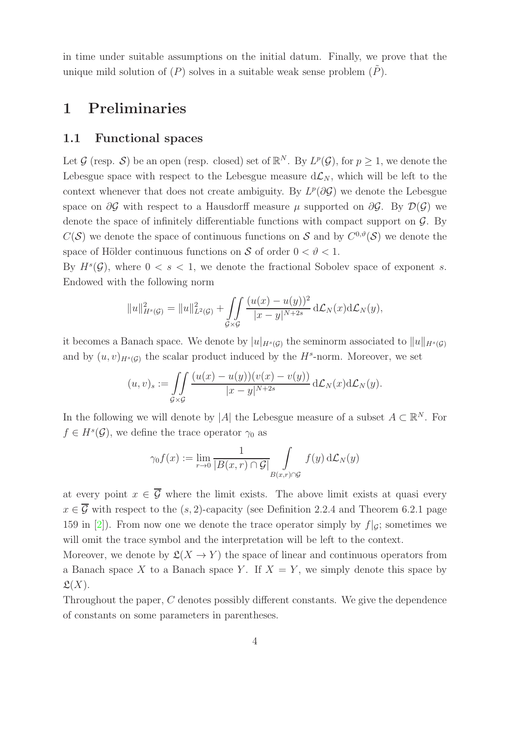in time under suitable assumptions on the initial datum. Finally, we prove that the unique mild solution of  $(P)$  solves in a suitable weak sense problem  $(P)$ .

## <span id="page-3-0"></span>1 Preliminaries

### 1.1 Functional spaces

Let G (resp. S) be an open (resp. closed) set of  $\mathbb{R}^N$ . By  $L^p(\mathcal{G})$ , for  $p \geq 1$ , we denote the Lebesgue space with respect to the Lebesgue measure  $d\mathcal{L}_N$ , which will be left to the context whenever that does not create ambiguity. By  $L^p(\partial \mathcal{G})$  we denote the Lebesgue space on  $\partial G$  with respect to a Hausdorff measure  $\mu$  supported on  $\partial G$ . By  $\mathcal{D}(G)$  we denote the space of infinitely differentiable functions with compact support on  $\mathcal{G}$ . By  $C(S)$  we denote the space of continuous functions on S and by  $C^{0,\vartheta}(S)$  we denote the space of Hölder continuous functions on S of order  $0 < \vartheta < 1$ .

By  $H^s(\mathcal{G})$ , where  $0 < s < 1$ , we denote the fractional Sobolev space of exponent s. Endowed with the following norm

$$
||u||_{H^{s}(\mathcal{G})}^{2} = ||u||_{L^{2}(\mathcal{G})}^{2} + \iint_{\mathcal{G}\times\mathcal{G}} \frac{(u(x) - u(y))^{2}}{|x - y|^{N+2s}} d\mathcal{L}_{N}(x) d\mathcal{L}_{N}(y),
$$

it becomes a Banach space. We denote by  $|u|_{H^s(G)}$  the seminorm associated to  $||u||_{H^s(G)}$ and by  $(u, v)_{H^s(G)}$  the scalar product induced by the  $H^s$ -norm. Moreover, we set

$$
(u,v)_s := \iint\limits_{\mathcal{G}\times\mathcal{G}} \frac{(u(x)-u(y))(v(x)-v(y))}{|x-y|^{N+2s}}\,\mathrm{d}\mathcal{L}_N(x)\mathrm{d}\mathcal{L}_N(y).
$$

In the following we will denote by |A| the Lebesgue measure of a subset  $A \subset \mathbb{R}^N$ . For  $f \in H<sup>s</sup>(\mathcal{G})$ , we define the trace operator  $\gamma_0$  as

$$
\gamma_0 f(x) := \lim_{r \to 0} \frac{1}{|B(x, r) \cap \mathcal{G}|} \int_{B(x, r) \cap \mathcal{G}} f(y) d\mathcal{L}_N(y)
$$

at every point  $x \in \overline{\mathcal{G}}$  where the limit exists. The above limit exists at quasi every  $x \in \overline{\mathcal{G}}$  with respect to the  $(s, 2)$ -capacity (see Definition 2.2.4 and Theorem 6.2.1 page 159 in [\[2\]](#page-26-1)). From now one we denote the trace operator simply by  $f|_{\mathcal{G}}$ ; sometimes we will omit the trace symbol and the interpretation will be left to the context.

Moreover, we denote by  $\mathfrak{L}(X \to Y)$  the space of linear and continuous operators from a Banach space X to a Banach space Y. If  $X = Y$ , we simply denote this space by  $\mathfrak{L}(X)$ .

Throughout the paper, C denotes possibly different constants. We give the dependence of constants on some parameters in parentheses.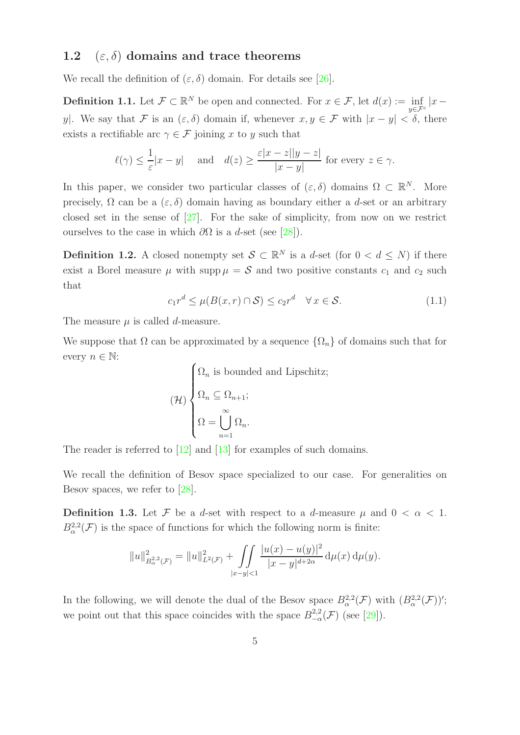### <span id="page-4-0"></span>1.2 ( $\varepsilon$ ,  $\delta$ ) domains and trace theorems

We recall the definition of  $(\varepsilon, \delta)$  domain. For details see [\[26\]](#page-28-5).

**Definition 1.1.** Let  $\mathcal{F} \subset \mathbb{R}^N$  be open and connected. For  $x \in \mathcal{F}$ , let  $d(x) := \inf_{y \in \mathcal{F}^c} |x - y|$ y|. We say that F is an  $(\varepsilon, \delta)$  domain if, whenever  $x, y \in \mathcal{F}$  with  $|x - y| < \delta$ , there exists a rectifiable arc  $\gamma \in \mathcal{F}$  joining x to y such that

$$
\ell(\gamma) \le \frac{1}{\varepsilon}|x - y| \quad \text{and} \quad d(z) \ge \frac{\varepsilon |x - z||y - z|}{|x - y|} \text{ for every } z \in \gamma.
$$

In this paper, we consider two particular classes of  $(\varepsilon, \delta)$  domains  $\Omega \subset \mathbb{R}^N$ . More precisely,  $\Omega$  can be a  $(\varepsilon, \delta)$  domain having as boundary either a d-set or an arbitrary closed set in the sense of [\[27\]](#page-28-6). For the sake of simplicity, from now on we restrict ourselves to the case in which  $\partial\Omega$  is a d-set (see [\[28\]](#page-28-7)).

**Definition 1.2.** A closed nonempty set  $S \subset \mathbb{R}^N$  is a d-set (for  $0 < d \leq N$ ) if there exist a Borel measure  $\mu$  with supp  $\mu = S$  and two positive constants  $c_1$  and  $c_2$  such that

$$
c_1 r^d \le \mu(B(x, r) \cap \mathcal{S}) \le c_2 r^d \quad \forall x \in \mathcal{S}.\tag{1.1}
$$

The measure  $\mu$  is called d-measure.

We suppose that  $\Omega$  can be approximated by a sequence  $\{\Omega_n\}$  of domains such that for every  $n \in \mathbb{N}$ :

$$
(\mathcal{H})\n\begin{cases}\n\Omega_n \text{ is bounded and Lipschitz;} \\
\Omega_n \subseteq \Omega_{n+1}; \\
\Omega = \bigcup_{n=1}^{\infty} \Omega_n.\n\end{cases}
$$

The reader is referred to [\[12\]](#page-27-3) and [\[13\]](#page-27-5) for examples of such domains.

We recall the definition of Besov space specialized to our case. For generalities on Besov spaces, we refer to [\[28\]](#page-28-7).

**Definition 1.3.** Let F be a d-set with respect to a d-measure  $\mu$  and  $0 < \alpha < 1$ .  $B^{2,2}_{\alpha}(\mathcal{F})$  is the space of functions for which the following norm is finite:

$$
||u||_{B_{\alpha}^{2,2}(\mathcal{F})}^{2} = ||u||_{L^{2}(\mathcal{F})}^{2} + \iint\limits_{|x-y|<1} \frac{|u(x)-u(y)|^{2}}{|x-y|^{d+2\alpha}} d\mu(x) d\mu(y).
$$

In the following, we will denote the dual of the Besov space  $B^{2,2}_{\alpha}(\mathcal{F})$  with  $(B^{2,2}_{\alpha}(\mathcal{F}))'$ ; we point out that this space coincides with the space  $B_{-\alpha}^{2,2}(\mathcal{F})$  (see [\[29\]](#page-28-8)).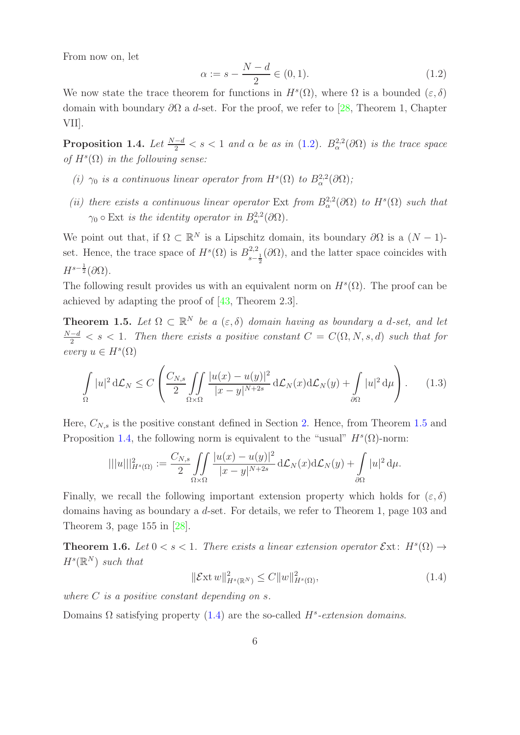From now on, let

<span id="page-5-0"></span>
$$
\alpha := s - \frac{N - d}{2} \in (0, 1). \tag{1.2}
$$

We now state the trace theorem for functions in  $H^s(\Omega)$ , where  $\Omega$  is a bounded  $(\varepsilon, \delta)$ domain with boundary  $\partial\Omega$  a d-set. For the proof, we refer to [\[28,](#page-28-7) Theorem 1, Chapter VII].

<span id="page-5-2"></span>**Proposition 1.4.** Let  $\frac{N-d}{2} < s < 1$  and  $\alpha$  be as in [\(1.2\)](#page-5-0).  $B_{\alpha}^{2,2}(\partial\Omega)$  is the trace space of  $H^s(\Omega)$  in the following sense:

- (i)  $\gamma_0$  is a continuous linear operator from  $H^s(\Omega)$  to  $B^{2,2}_{\alpha}(\partial\Omega)$ ;
- (ii) there exists a continuous linear operator Ext from  $B^{2,2}_{\alpha}(\partial\Omega)$  to  $H^{s}(\Omega)$  such that  $\gamma_0 \circ \text{Ext}$  is the identity operator in  $B^{2,2}_{\alpha}(\partial \Omega)$ .

We point out that, if  $\Omega \subset \mathbb{R}^N$  is a Lipschitz domain, its boundary  $\partial\Omega$  is a  $(N-1)$ set. Hence, the trace space of  $H<sup>s</sup>(\Omega)$  is  $B<sub>2</sub><sup>2,2</sup>$  $\frac{2,2}{s-\frac{1}{2}}$  (∂Ω), and the latter space coincides with  $H^{s-\frac{1}{2}}(\partial\Omega).$ 

The following result provides us with an equivalent norm on  $H^s(\Omega)$ . The proof can be achieved by adapting the proof of [\[43,](#page-29-5) Theorem 2.3].

<span id="page-5-1"></span>**Theorem 1.5.** Let  $\Omega \subset \mathbb{R}^N$  be a  $(\varepsilon, \delta)$  domain having as boundary a d-set, and let  $\frac{N-d}{2} < s < 1$ . Then there exists a positive constant  $C = C(\Omega, N, s, d)$  such that for every  $u \in H^s(\Omega)$ 

$$
\int_{\Omega} |u|^2 d\mathcal{L}_N \le C \left( \frac{C_{N,s}}{2} \iint_{\Omega \times \Omega} \frac{|u(x) - u(y)|^2}{|x - y|^{N+2s}} d\mathcal{L}_N(x) d\mathcal{L}_N(y) + \int_{\partial \Omega} |u|^2 d\mu \right). \tag{1.3}
$$

Here,  $C_{N,s}$  is the positive constant defined in Section [2.](#page-7-0) Hence, from Theorem [1.5](#page-5-1) and Proposition [1.4,](#page-5-2) the following norm is equivalent to the "usual"  $H<sup>s</sup>(\Omega)$ -norm:

$$
|||u|||_{H^s(\Omega)}^2 := \frac{C_{N,s}}{2} \iint\limits_{\Omega \times \Omega} \frac{|u(x) - u(y)|^2}{|x - y|^{N+2s}} d\mathcal{L}_N(x) d\mathcal{L}_N(y) + \int\limits_{\partial \Omega} |u|^2 d\mu
$$

Finally, we recall the following important extension property which holds for  $(\varepsilon, \delta)$ domains having as boundary a d-set. For details, we refer to Theorem 1, page 103 and Theorem 3, page 155 in [\[28\]](#page-28-7).

**Theorem 1.6.** Let  $0 < s < 1$ . There exists a linear extension operator  $\mathcal{E}xt$ :  $H^s(\Omega) \rightarrow$  $H^s(\mathbb{R}^N)$  such that

<span id="page-5-3"></span>
$$
\|\mathcal{E}xt w\|_{H^s(\mathbb{R}^N)}^2 \le C \|w\|_{H^s(\Omega)}^2,
$$
\n(1.4)

dµ.

where  $C$  is a positive constant depending on  $s$ .

Domains  $\Omega$  satisfying property [\(1.4\)](#page-5-3) are the so-called  $H^s$ -extension domains.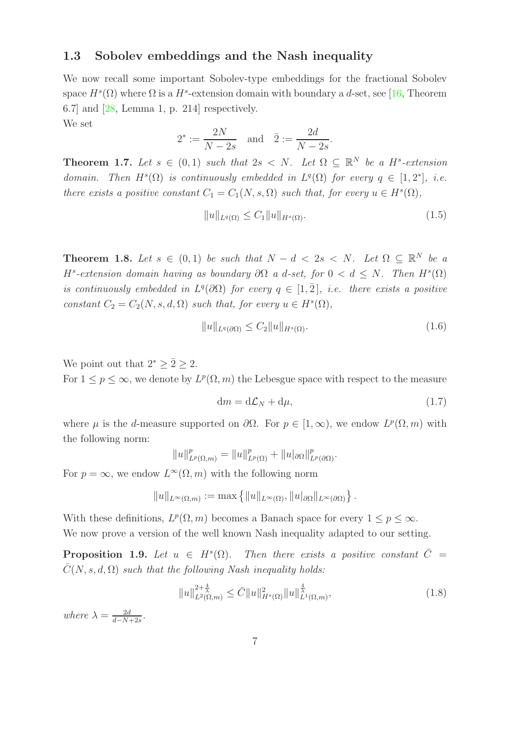### 1.3 Sobolev embeddings and the Nash inequality

We now recall some important Sobolev-type embeddings for the fractional Sobolev space  $H^s(\Omega)$  where  $\Omega$  is a  $H^s$ -extension domain with boundary a d-set, see [\[16,](#page-27-9) Theorem 6.7] and [\[28,](#page-28-7) Lemma 1, p. 214] respectively. We set

$$
2^* := \frac{2N}{N-2s}
$$
 and  $\bar{2} := \frac{2d}{N-2s}$ .

<span id="page-6-2"></span>**Theorem 1.7.** Let  $s \in (0,1)$  such that  $2s \lt N$ . Let  $\Omega \subseteq \mathbb{R}^N$  be a H<sup>s</sup>-extension domain. Then  $H^s(\Omega)$  is continuously embedded in  $L^q(\Omega)$  for every  $q \in [1,2^*]$ , i.e. there exists a positive constant  $C_1 = C_1(N, s, \Omega)$  such that, for every  $u \in H<sup>s</sup>(\Omega)$ ,

<span id="page-6-4"></span>
$$
||u||_{L^{q}(\Omega)} \leq C_1 ||u||_{H^{s}(\Omega)}.
$$
\n(1.5)

<span id="page-6-3"></span>**Theorem 1.8.** Let  $s \in (0,1)$  be such that  $N - d < 2s < N$ . Let  $\Omega \subseteq \mathbb{R}^N$  be a H<sup>s</sup>-extension domain having as boundary  $\partial\Omega$  a d-set, for  $0 < d \leq N$ . Then  $H^{s}(\Omega)$ is continuously embedded in  $L^q(\partial\Omega)$  for every  $q \in [1,\overline{2}]$ , i.e. there exists a positive constant  $C_2 = C_2(N, s, d, \Omega)$  such that, for every  $u \in H<sup>s</sup>(\Omega)$ ,

<span id="page-6-5"></span>
$$
||u||_{L^{q}(\partial\Omega)} \le C_2 ||u||_{H^{s}(\Omega)}.
$$
\n
$$
(1.6)
$$

We point out that  $2^* \geq 2 \geq 2$ .

For  $1 \leq p \leq \infty$ , we denote by  $L^p(\Omega, m)$  the Lebesgue space with respect to the measure

<span id="page-6-0"></span>
$$
dm = d\mathcal{L}_N + d\mu,\tag{1.7}
$$

where  $\mu$  is the d-measure supported on  $\partial\Omega$ . For  $p \in [1,\infty)$ , we endow  $L^p(\Omega,m)$  with the following norm:

$$
||u||_{L^{p}(\Omega,m)}^{p} = ||u||_{L^{p}(\Omega)}^{p} + ||u|_{\partial\Omega}||_{L^{p}(\partial\Omega)}^{p}.
$$

For  $p = \infty$ , we endow  $L^{\infty}(\Omega, m)$  with the following norm

$$
||u||_{L^{\infty}(\Omega,m)} := \max \{||u||_{L^{\infty}(\Omega)}, ||u|_{\partial\Omega}||_{L^{\infty}(\partial\Omega)}\}.
$$

With these definitions,  $L^p(\Omega, m)$  becomes a Banach space for every  $1 \leq p \leq \infty$ . We now prove a version of the well known Nash inequality adapted to our setting.

<span id="page-6-1"></span>**Proposition 1.9.** Let  $u \in H^s(\Omega)$ . Then there exists a positive constant  $\overline{C} =$  $\overline{C}(N, s, d, \Omega)$  such that the following Nash inequality holds:

<span id="page-6-6"></span>
$$
||u||_{L^{2}(\Omega,m)}^{2+\frac{4}{\lambda}} \leq \bar{C}||u||_{H^{s}(\Omega)}^{2}||u||_{L^{1}(\Omega,m)}^{\frac{4}{\lambda}},
$$
\n(1.8)

where  $\lambda = \frac{2d}{d-N}$  $\frac{2d}{d-N+2s}$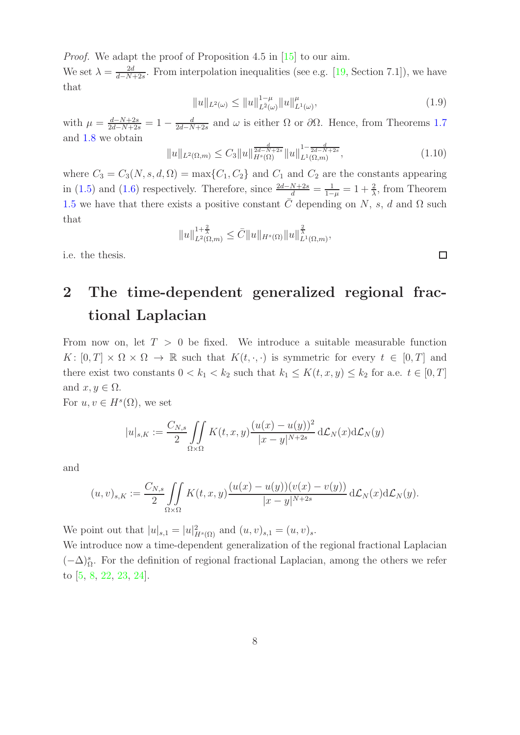Proof. We adapt the proof of Proposition 4.5 in [\[15\]](#page-27-8) to our aim.

We set  $\lambda = \frac{2d}{d-N}$  $\frac{2d}{d-N+2s}$ . From interpolation inequalities (see e.g. [\[19,](#page-28-9) Section 7.1]), we have that

$$
||u||_{L^{2}(\omega)} \leq ||u||_{L^{\bar{2}}(\omega)}^{1-\mu} ||u||_{L^{1}(\omega)}^{\mu}, \tag{1.9}
$$

with  $\mu = \frac{d-N+2s}{2d-N+2s} = 1 - \frac{d}{2d-N}$  $\frac{d}{2d-N+2s}$  and  $\omega$  is either  $\Omega$  or  $\partial\Omega$ . Hence, from Theorems [1.7](#page-6-2) and [1.8](#page-6-3) we obtain

$$
||u||_{L^{2}(\Omega,m)} \leq C_{3}||u||_{H^{s}(\Omega)}^{\frac{d}{2d-N+2s}}||u||_{L^{1}(\Omega,m)}^{1-\frac{d}{2d-N+2s}},
$$
\n(1.10)

where  $C_3 = C_3(N, s, d, \Omega) = \max\{C_1, C_2\}$  and  $C_1$  and  $C_2$  are the constants appearing in [\(1.5\)](#page-6-4) and [\(1.6\)](#page-6-5) respectively. Therefore, since  $\frac{2d-N+2s}{d} = \frac{1}{1-\mu} = 1 + \frac{2}{\lambda}$ , from Theorem [1.5](#page-5-1) we have that there exists a positive constant C depending on N, s, d and  $\Omega$  such that

$$
||u||_{L^{2}(\Omega,m)}^{1+\frac{2}{\lambda}} \leq \bar{C}||u||_{H^{s}(\Omega)}||u||_{L^{1}(\Omega,m)}^{\frac{2}{\lambda}},
$$

<span id="page-7-0"></span>i.e. the thesis.

## 2 The time-dependent generalized regional fractional Laplacian

From now on, let  $T > 0$  be fixed. We introduce a suitable measurable function  $K: [0,T] \times \Omega \times \Omega \to \mathbb{R}$  such that  $K(t,\cdot,\cdot)$  is symmetric for every  $t \in [0,T]$  and there exist two constants  $0 < k_1 < k_2$  such that  $k_1 \leq K(t, x, y) \leq k_2$  for a.e.  $t \in [0, T]$ and  $x, y \in \Omega$ .

For  $u, v \in H^s(\Omega)$ , we set

$$
|u|_{s,K} := \frac{C_{N,s}}{2} \iint\limits_{\Omega \times \Omega} K(t,x,y) \frac{(u(x) - u(y))^2}{|x - y|^{N+2s}} d\mathcal{L}_N(x) d\mathcal{L}_N(y)
$$

and

$$
(u,v)_{s,K} := \frac{C_{N,s}}{2} \iint\limits_{\Omega \times \Omega} K(t,x,y) \frac{(u(x)-u(y))(v(x)-v(y))}{|x-y|^{N+2s}} d\mathcal{L}_N(x) d\mathcal{L}_N(y).
$$

We point out that  $|u|_{s,1} = |u|_{H^s(\Omega)}^2$  and  $(u, v)_{s,1} = (u, v)_{s}.$ 

We introduce now a time-dependent generalization of the regional fractional Laplacian  $(-\Delta)_{\Omega}^{s}$ . For the definition of regional fractional Laplacian, among the others we refer to [\[5,](#page-27-10) [8,](#page-27-11) [22,](#page-28-10) [23,](#page-28-11) [24\]](#page-28-12).

 $\Box$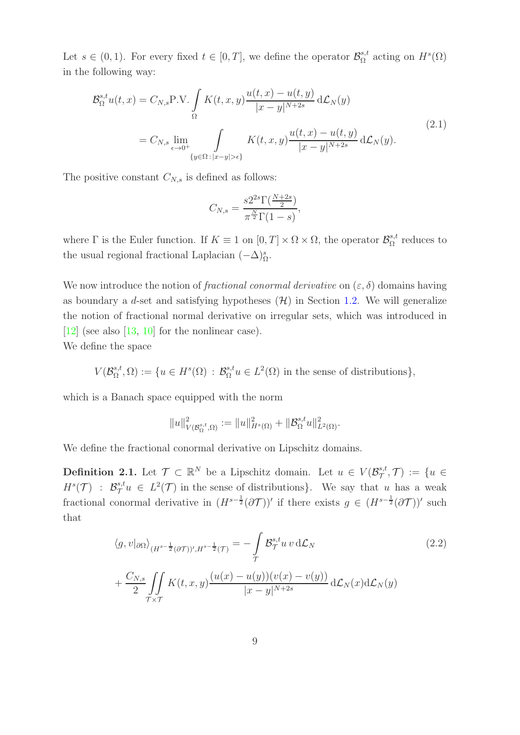Let  $s \in (0, 1)$ . For every fixed  $t \in [0, T]$ , we define the operator  $\mathcal{B}_{\Omega}^{s,t}$  $S_{\Omega}^{s,t}$  acting on  $H^s(\Omega)$ in the following way:

<span id="page-8-0"></span>
$$
\mathcal{B}_{\Omega}^{s,t}u(t,x) = C_{N,s}P.V. \int_{\Omega} K(t,x,y) \frac{u(t,x) - u(t,y)}{|x - y|^{N+2s}} d\mathcal{L}_N(y)
$$
  

$$
= C_{N,s} \lim_{\epsilon \to 0^+} \int_{\{y \in \Omega : |x - y| > \epsilon\}} K(t,x,y) \frac{u(t,x) - u(t,y)}{|x - y|^{N+2s}} d\mathcal{L}_N(y).
$$
\n(2.1)

The positive constant  $C_{N,s}$  is defined as follows:

$$
C_{N,s} = \frac{s2^{2s} \Gamma(\frac{N+2s}{2})}{\pi^{\frac{N}{2}} \Gamma(1-s)},
$$

where  $\Gamma$  is the Euler function. If  $K \equiv 1$  on  $[0, T] \times \Omega \times \Omega$ , the operator  $\mathcal{B}_{\Omega}^{s,t}$  $\Omega^{\mathcal{S},t}$  reduces to the usual regional fractional Laplacian  $(-\Delta)_{\Omega}^{s}$ .

We now introduce the notion of *fractional conormal derivative* on  $(\varepsilon, \delta)$  domains having as boundary a d-set and satisfying hypotheses  $(\mathcal{H})$  in Section [1.2.](#page-4-0) We will generalize the notion of fractional normal derivative on irregular sets, which was introduced in  $[12]$  (see also  $[13, 10]$  $[13, 10]$  for the nonlinear case). We define the space

$$
V(\mathcal{B}_{\Omega}^{s,t},\Omega):=\{u\in H^s(\Omega)\,:\,\mathcal{B}_{\Omega}^{s,t}u\in L^2(\Omega)\,\,\text{in the sense of distributions}\},
$$

which is a Banach space equipped with the norm

<span id="page-8-1"></span>
$$
||u||^2_{V(\mathcal{B}_{\Omega}^{s,t},\Omega)} := ||u||^2_{H^s(\Omega)} + ||\mathcal{B}_{\Omega}^{s,t}u||^2_{L^2(\Omega)}.
$$

We define the fractional conormal derivative on Lipschitz domains.

**Definition 2.1.** Let  $\mathcal{T} \subset \mathbb{R}^N$  be a Lipschitz domain. Let  $u \in V(\mathcal{B}^{s,t}_{\mathcal{T}})$  $\mathcal{T}^{s,t},\mathcal{T})\,:=\,\{u\,\in\,\mathbb{R}$  $H^s(\mathcal{T})$  :  $\mathcal{B}^{s,t}_{\mathcal{T}}u \in L^2(\mathcal{T})$  in the sense of distributions}. We say that u has a weak fractional conormal derivative in  $(H^{s-\frac{1}{2}}(\partial \mathcal{T}))'$  if there exists  $g \in (H^{s-\frac{1}{2}}(\partial \mathcal{T}))'$  such that

$$
\langle g, v |_{\partial \Omega} \rangle_{(H^{s-\frac{1}{2}}(\partial \mathcal{T}))', H^{s-\frac{1}{2}}(\mathcal{T})} = -\int_{\mathcal{T}} \mathcal{B}_{\mathcal{T}}^{s,t} u v d\mathcal{L}_N
$$
  
+ 
$$
\frac{C_{N,s}}{2} \iint_{\mathcal{T} \times \mathcal{T}} K(t, x, y) \frac{(u(x) - u(y))(v(x) - v(y))}{|x - y|^{N+2s}} d\mathcal{L}_N(x) d\mathcal{L}_N(y)
$$
 (2.2)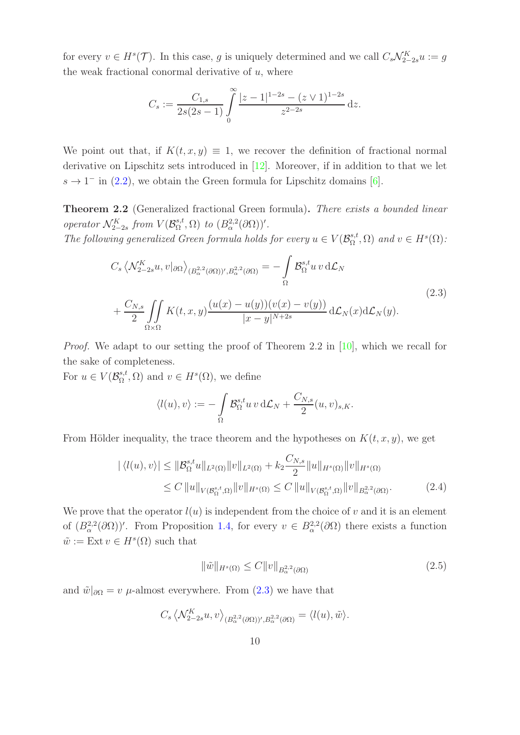for every  $v \in H^s(\mathcal{T})$ . In this case, g is uniquely determined and we call  $C_s\mathcal{N}_{2-2s}^K u := g$ the weak fractional conormal derivative of  $u$ , where

$$
C_s := \frac{C_{1,s}}{2s(2s-1)} \int\limits_0^\infty \frac{|z-1|^{1-2s} - (z \vee 1)^{1-2s}}{z^{2-2s}} dz.
$$

We point out that, if  $K(t, x, y) \equiv 1$ , we recover the definition of fractional normal derivative on Lipschitz sets introduced in [\[12\]](#page-27-3). Moreover, if in addition to that we let  $s \to 1^-$  in [\(2.2\)](#page-8-1), we obtain the Green formula for Lipschitz domains [\[6\]](#page-27-12).

<span id="page-9-0"></span>Theorem 2.2 (Generalized fractional Green formula). There exists a bounded linear operator  $\mathcal{N}_{2-2s}^K$  from  $V(\mathcal{B}_{\Omega}^{s,t})$  $S_{\Omega}^{s,t}(\Omega)$  to  $(B_{\alpha}^{2,2}(\partial\Omega))'.$ 

<span id="page-9-1"></span>The following generalized Green formula holds for every  $u \in V(\mathcal{B}_{\Omega}^{s,t})$  $_{\Omega}^{s,t}$ ,  $\Omega$ ) and  $v \in H^s(\Omega)$ :

$$
C_s \left\langle \mathcal{N}_{2-2s}^K u, v|_{\partial\Omega} \right\rangle_{(B_\alpha^{2,2}(\partial\Omega))^{\prime}, B_\alpha^{2,2}(\partial\Omega)} = -\int_{\Omega} \mathcal{B}_\Omega^{s,t} u \, v \, d\mathcal{L}_N
$$
  
+ 
$$
\frac{C_{N,s}}{2} \iint_{\Omega \times \Omega} K(t,x,y) \frac{(u(x) - u(y))(v(x) - v(y))}{|x - y|^{N+2s}} d\mathcal{L}_N(x) d\mathcal{L}_N(y).
$$
 (2.3)

Proof. We adapt to our setting the proof of Theorem 2.2 in [\[10\]](#page-27-6), which we recall for the sake of completeness.

For  $u \in V(\mathcal{B}_{\Omega}^{s,t})$  $S_{\Omega}^{s,t}$ ,  $\Omega$ ) and  $v \in H^s(\Omega)$ , we define

$$
\langle l(u),v\rangle:=-\int\limits_{\Omega}\mathcal{B}_{\Omega}^{s,t}u\,v\,\mathrm{d}\mathcal{L}_N+\frac{C_{N,s}}{2}(u,v)_{s,K}.
$$

From Hölder inequality, the trace theorem and the hypotheses on  $K(t, x, y)$ , we get

$$
|\langle l(u), v \rangle| \leq ||\mathcal{B}_{\Omega}^{s,t}u||_{L^{2}(\Omega)}||v||_{L^{2}(\Omega)} + k_{2} \frac{C_{N,s}}{2}||u||_{H^{s}(\Omega)}||v||_{H^{s}(\Omega)}
$$
  
\n
$$
\leq C ||u||_{V(\mathcal{B}_{\Omega}^{s,t},\Omega)}||v||_{H^{s}(\Omega)} \leq C ||u||_{V(\mathcal{B}_{\Omega}^{s,t},\Omega)}||v||_{B_{\alpha}^{2,2}(\partial\Omega)}.
$$
\n(2.4)

We prove that the operator  $l(u)$  is independent from the choice of v and it is an element of  $(B^{2,2}_{\alpha}(\partial\Omega))'$ . From Proposition [1.4,](#page-5-2) for every  $v \in B^{2,2}_{\alpha}(\partial\Omega)$  there exists a function  $\tilde{w} := \text{Ext } v \in H^s(\Omega)$  such that

<span id="page-9-3"></span><span id="page-9-2"></span>
$$
\|\tilde{w}\|_{H^s(\Omega)} \le C \|v\|_{B^{2,2}_{\alpha}(\partial \Omega)} \tag{2.5}
$$

and  $\tilde{w}|_{\partial\Omega} = v$  µ-almost everywhere. From [\(2.3\)](#page-9-1) we have that

$$
C_s \left\langle \mathcal{N}_{2-2s}^K u, v \right\rangle_{(B^{2,2}_{\alpha}(\partial \Omega))', B^{2,2}_{\alpha}(\partial \Omega)} = \left\langle l(u), \tilde{w} \right\rangle.
$$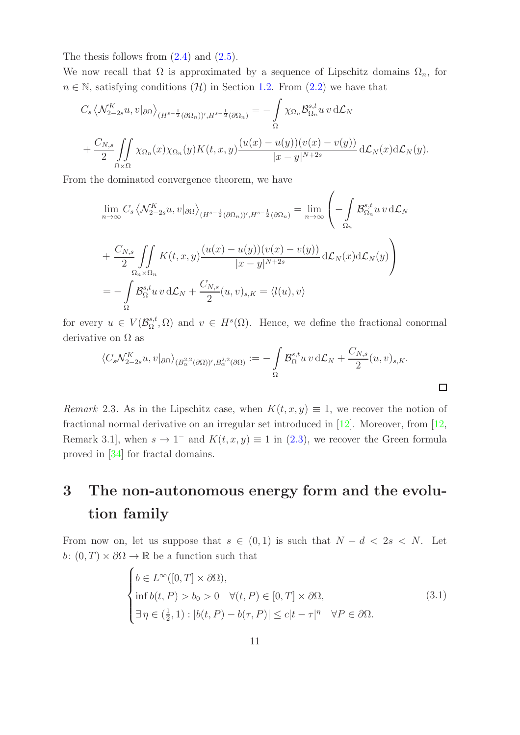The thesis follows from  $(2.4)$  and  $(2.5)$ .

We now recall that  $\Omega$  is approximated by a sequence of Lipschitz domains  $\Omega_n$ , for  $n \in \mathbb{N}$ , satisfying conditions  $(\mathcal{H})$  in Section [1.2.](#page-4-0) From  $(2.2)$  we have that

$$
C_s \left\langle \mathcal{N}_{2-2s}^K u, v|_{\partial\Omega} \right\rangle_{(H^{s-\frac{1}{2}}(\partial\Omega_n))^{\prime}, H^{s-\frac{1}{2}}(\partial\Omega_n)} = -\int\limits_{\Omega} \chi_{\Omega_n} \mathcal{B}_{\Omega_n}^{s,t} u \, v \, d\mathcal{L}_N
$$

$$
+ \frac{C_{N,s}}{2} \iint\limits_{\Omega \times \Omega} \chi_{\Omega_n}(x) \chi_{\Omega_n}(y) K(t, x, y) \frac{(u(x) - u(y))(v(x) - v(y))}{|x - y|^{N+2s}} d\mathcal{L}_N(x) d\mathcal{L}_N(y).
$$

From the dominated convergence theorem, we have

$$
\lim_{n \to \infty} C_s \left\langle \mathcal{N}_{2-2s}^K u, v|_{\partial \Omega} \right\rangle_{(H^{s-\frac{1}{2}}(\partial \Omega_n))^{\prime}, H^{s-\frac{1}{2}}(\partial \Omega_n)} = \lim_{n \to \infty} \left( - \int_{\Omega_n} \mathcal{B}_{\Omega_n}^{s,t} u v \, d\mathcal{L}_N u
$$
\n
$$
+ \frac{C_{N,s}}{2} \iint_{\Omega_n \times \Omega_n} K(t, x, y) \frac{(u(x) - u(y))(v(x) - v(y))}{|x - y|^{N+2s}} d\mathcal{L}_N(x) d\mathcal{L}_N(y) \right)
$$
\n
$$
= - \int_{\Omega} \mathcal{B}_{\Omega}^{s,t} u v \, d\mathcal{L}_N + \frac{C_{N,s}}{2} (u, v)_{s,K} = \left\langle l(u), v \right\rangle
$$

for every  $u \in V(\mathcal{B}_{\Omega}^{s,t})$  $S_{\Omega}^{s,t}$ ,  $\Omega$ ) and  $v \in H^s(\Omega)$ . Hence, we define the fractional conormal derivative on  $\Omega$  as

$$
\langle C_s \mathcal{N}_{2-2s}^K u, v|_{\partial \Omega} \rangle_{(B_{\alpha}^{2,2}(\partial \Omega))^{\prime}, B_{\alpha}^{2,2}(\partial \Omega)} := -\int_{\Omega} \mathcal{B}_{\Omega}^{s,t} u \, v \, d\mathcal{L}_N + \frac{C_{N,s}}{2} (u, v)_{s,K}.
$$

 $\Box$ 

*Remark* 2.3. As in the Lipschitz case, when  $K(t, x, y) \equiv 1$ , we recover the notion of fractional normal derivative on an irregular set introduced in [\[12\]](#page-27-3). Moreover, from [\[12,](#page-27-3) Remark 3.1, when  $s \to 1^-$  and  $K(t, x, y) \equiv 1$  in [\(2.3\)](#page-9-1), we recover the Green formula proved in [\[34\]](#page-28-13) for fractal domains.

## <span id="page-10-1"></span>3 The non-autonomous energy form and the evolution family

From now on, let us suppose that  $s \in (0,1)$  is such that  $N - d < 2s < N$ . Let  $b: (0, T) \times \partial\Omega \to \mathbb{R}$  be a function such that

<span id="page-10-0"></span>
$$
\begin{cases}\nb \in L^{\infty}([0, T] \times \partial \Omega), \\
\inf b(t, P) > b_0 > 0 \quad \forall (t, P) \in [0, T] \times \partial \Omega, \\
\exists \eta \in (\frac{1}{2}, 1) : |b(t, P) - b(\tau, P)| \le c|t - \tau|^{\eta} \quad \forall P \in \partial \Omega.\n\end{cases}
$$
\n(3.1)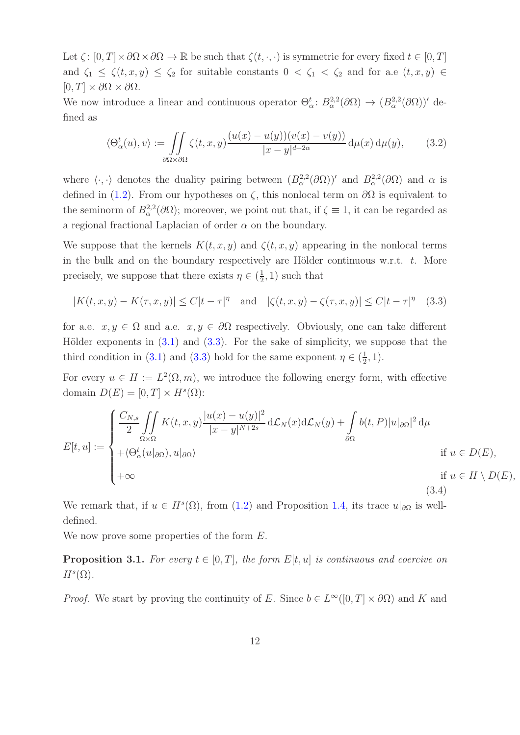Let  $\zeta: [0, T] \times \partial \Omega \times \partial \Omega \to \mathbb{R}$  be such that  $\zeta(t, \cdot, \cdot)$  is symmetric for every fixed  $t \in [0, T]$ and  $\zeta_1 \leq \zeta(t,x,y) \leq \zeta_2$  for suitable constants  $0 < \zeta_1 < \zeta_2$  and for a.e  $(t,x,y) \in$  $[0, T] \times \partial\Omega \times \partial\Omega$ .

We now introduce a linear and continuous operator  $\Theta_{\alpha}^t: B_{\alpha}^{2,2}(\partial\Omega) \to (B_{\alpha}^{2,2}(\partial\Omega))'$  defined as

<span id="page-11-0"></span>
$$
\langle \Theta_{\alpha}^{t}(u), v \rangle := \iint_{\partial \Omega \times \partial \Omega} \zeta(t, x, y) \frac{(u(x) - u(y))(v(x) - v(y))}{|x - y|^{d + 2\alpha}} d\mu(x) d\mu(y), \tag{3.2}
$$

where  $\langle \cdot, \cdot \rangle$  denotes the duality pairing between  $(B^{2,2}_{\alpha}(\partial \Omega))'$  and  $B^{2,2}_{\alpha}(\partial \Omega)$  and  $\alpha$  is defined in [\(1.2\)](#page-5-0). From our hypotheses on  $\zeta$ , this nonlocal term on  $\partial\Omega$  is equivalent to the seminorm of  $B^{2,2}_{\alpha}(\partial\Omega)$ ; moreover, we point out that, if  $\zeta \equiv 1$ , it can be regarded as a regional fractional Laplacian of order  $\alpha$  on the boundary.

We suppose that the kernels  $K(t, x, y)$  and  $\zeta(t, x, y)$  appearing in the nonlocal terms in the bulk and on the boundary respectively are Hölder continuous w.r.t.  $t$ . More precisely, we suppose that there exists  $\eta \in (\frac{1}{2})$  $(\frac{1}{2}, 1)$  such that

<span id="page-11-2"></span>
$$
|K(t, x, y) - K(\tau, x, y)| \le C|t - \tau|^{\eta} \quad \text{and} \quad |\zeta(t, x, y) - \zeta(\tau, x, y)| \le C|t - \tau|^{\eta} \tag{3.3}
$$

for a.e.  $x, y \in \Omega$  and a.e.  $x, y \in \partial\Omega$  respectively. Obviously, one can take different Hölder exponents in  $(3.1)$  and  $(3.3)$ . For the sake of simplicity, we suppose that the third condition in [\(3.1\)](#page-10-0) and [\(3.3\)](#page-11-2) hold for the same exponent  $\eta \in (\frac{1}{2})$  $(\frac{1}{2}, 1).$ 

For every  $u \in H := L^2(\Omega, m)$ , we introduce the following energy form, with effective domain  $D(E) = [0, T] \times H<sup>s</sup>(\Omega)$ :

<span id="page-11-1"></span>
$$
E[t, u] := \begin{cases} \frac{C_{N,s}}{2} \iint\limits_{\Omega \times \Omega} K(t, x, y) \frac{|u(x) - u(y)|^2}{|x - y|^{N + 2s}} d\mathcal{L}_N(x) d\mathcal{L}_N(y) + \int\limits_{\partial \Omega} b(t, P) |u|_{\partial \Omega}|^2 d\mu \\ + \langle \Theta^t_\alpha(u|_{\partial \Omega}), u|_{\partial \Omega} \rangle & \text{if } u \in D(E), \\ +\infty & \text{if } u \in H \setminus D(E), \end{cases}
$$
(3.4)

We remark that, if  $u \in H^s(\Omega)$ , from [\(1.2\)](#page-5-0) and Proposition [1.4,](#page-5-2) its trace  $u|_{\partial\Omega}$  is welldefined.

We now prove some properties of the form  $E$ .

**Proposition 3.1.** For every  $t \in [0, T]$ , the form  $E[t, u]$  is continuous and coercive on  $H^s(\Omega)$ .

*Proof.* We start by proving the continuity of E. Since  $b \in L^{\infty}([0, T] \times \partial \Omega)$  and K and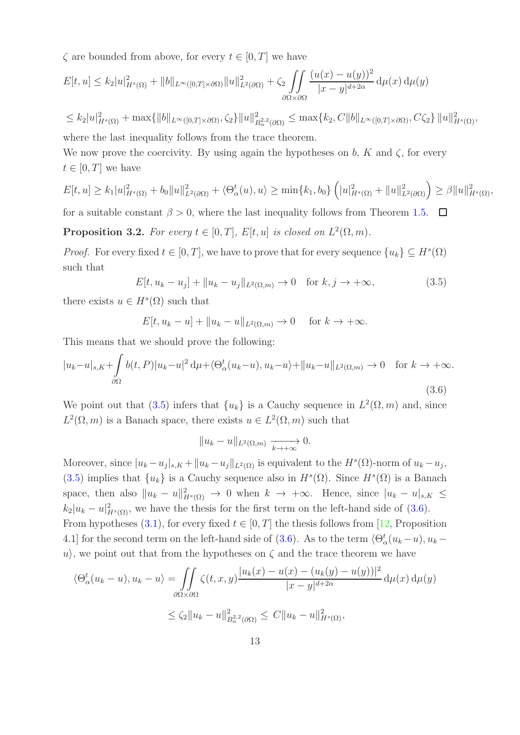$\zeta$  are bounded from above, for every  $t \in [0, T]$  we have

$$
E[t, u] \le k_2 |u|_{H^s(\Omega)}^2 + ||b||_{L^\infty([0, T] \times \partial \Omega)} ||u||_{L^2(\partial \Omega)}^2 + \zeta_2 \iint\limits_{\partial \Omega \times \partial \Omega} \frac{(u(x) - u(y))^2}{|x - y|^{d + 2\alpha}} d\mu(x) d\mu(y)
$$

 $\leq k_2|u|_{H^s(\Omega)}^2 + \max\{\|b\|_{L^\infty([0,T]\times\partial\Omega)},\zeta_2\}\|u\|_{L^2}^2$  $B_{\alpha}^{2} \, \partial_{\Omega} \leq \max \{ k_2, C \|b\|_{L^{\infty}([0,T] \times \partial \Omega)}, C \zeta_2 \} \, \|u\|_{H^s(\Omega)}^2,$ where the last inequality follows from the trace theorem.

We now prove the coercivity. By using again the hypotheses on b, K and  $\zeta$ , for every  $t \in [0, T]$  we have

$$
E[t, u] \ge k_1 |u|_{H^s(\Omega)}^2 + b_0 \|u\|_{L^2(\partial\Omega)}^2 + \langle \Theta_\alpha^t(u), u \rangle \ge \min\{k_1, b_0\} \left( |u|_{H^s(\Omega)}^2 + \|u\|_{L^2(\partial\Omega)}^2 \right) \ge \beta \|u\|_{H^s(\Omega)}^2,
$$

for a suitable constant  $\beta > 0$ , where the last inequality follows from Theorem [1.5.](#page-5-1)  $\Box$ 

**Proposition 3.2.** For every  $t \in [0, T]$ ,  $E[t, u]$  is closed on  $L^2(\Omega, m)$ .

*Proof.* For every fixed  $t \in [0, T]$ , we have to prove that for every sequence  $\{u_k\} \subseteq H^s(\Omega)$ such that

<span id="page-12-0"></span> $E[t, u_k - u_j] + ||u_k - u_j||_{L^2(\Omega, m)} \to 0 \text{ for } k, j \to +\infty,$  (3.5)

there exists  $u \in H<sup>s</sup>(\Omega)$  such that

$$
E[t, u_k - u] + ||u_k - u||_{L^2(\Omega, m)} \to 0 \quad \text{for } k \to +\infty.
$$

This means that we should prove the following:

<span id="page-12-1"></span>
$$
|u_k - u|_{s,K} + \int_{\partial\Omega} b(t, P)|u_k - u|^2 \, \mathrm{d}\mu + \langle \Theta^t_\alpha(u_k - u), u_k - u \rangle + \|u_k - u\|_{L^2(\Omega, m)} \to 0 \quad \text{for } k \to +\infty.
$$
\n
$$
(3.6)
$$

We point out that [\(3.5\)](#page-12-0) infers that  $\{u_k\}$  is a Cauchy sequence in  $L^2(\Omega, m)$  and, since  $L^2(\Omega,m)$  is a Banach space, there exists  $u \in L^2(\Omega,m)$  such that

$$
||u_k - u||_{L^2(\Omega,m)} \xrightarrow[k \to +\infty]{} 0.
$$

Moreover, since  $|u_k - u_j|_{s,K} + ||u_k - u_j||_{L^2(\Omega)}$  is equivalent to the  $H^s(\Omega)$ -norm of  $u_k - u_j$ , [\(3.5\)](#page-12-0) implies that  $\{u_k\}$  is a Cauchy sequence also in  $H^s(\Omega)$ . Since  $H^s(\Omega)$  is a Banach space, then also  $||u_k - u||_{H^s(\Omega)}^2 \to 0$  when  $k \to +\infty$ . Hence, since  $|u_k - u|_{s,K} \le$  $k_2|u_k-u|^2_{H^s(\Omega)}$ , we have the thesis for the first term on the left-hand side of [\(3.6\)](#page-12-1). From hypotheses [\(3.1\)](#page-10-0), for every fixed  $t \in [0, T]$  the thesis follows from [\[12,](#page-27-3) Proposition 4.1] for the second term on the left-hand side of [\(3.6\)](#page-12-1). As to the term  $\langle \Theta_{\alpha}^{t}(u_{k}-u), u_{k}-\Theta_{\alpha}^{t}(u_{k}-u)\rangle$ u), we point out that from the hypotheses on  $\zeta$  and the trace theorem we have

$$
\langle \Theta_{\alpha}^{t}(u_{k}-u), u_{k}-u \rangle = \iint_{\partial \Omega \times \partial \Omega} \zeta(t, x, y) \frac{|u_{k}(x) - u(x) - (u_{k}(y) - u(y))|^{2}}{|x - y|^{d + 2\alpha}} d\mu(x) d\mu(y)
$$

$$
\leq \zeta_{2} ||u_{k} - u||_{B_{\alpha}^{2,2}(\partial \Omega)}^{2} \leq C ||u_{k} - u||_{H^{s}(\Omega)}^{2},
$$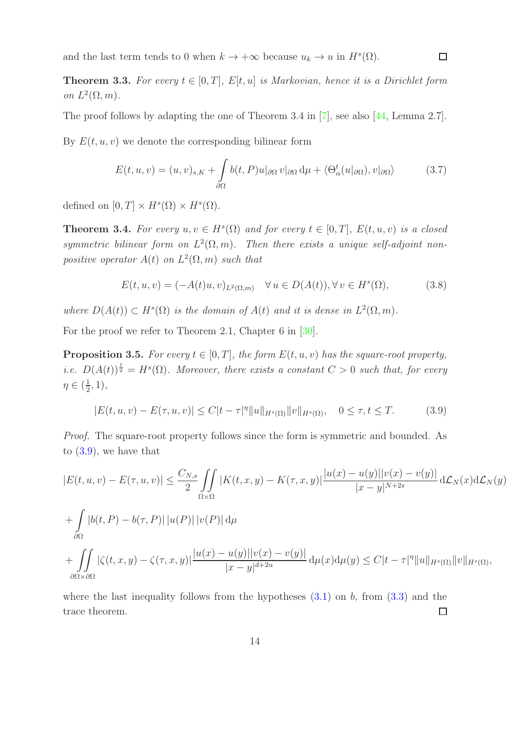and the last term tends to 0 when  $k \to +\infty$  because  $u_k \to u$  in  $H^s(\Omega)$ .

<span id="page-13-3"></span>**Theorem 3.3.** For every  $t \in [0, T]$ ,  $E[t, u]$  is Markovian, hence it is a Dirichlet form on  $L^2(\Omega, m)$ .

The proof follows by adapting the one of Theorem 3.4 in [\[7\]](#page-27-13), see also [\[44,](#page-29-6) Lemma 2.7].

By  $E(t, u, v)$  we denote the corresponding bilinear form

$$
E(t, u, v) = (u, v)_{s,K} + \int_{\partial\Omega} b(t, P)u|_{\partial\Omega} v|_{\partial\Omega} d\mu + \langle \Theta^t_{\alpha}(u|_{\partial\Omega}), v|_{\partial\Omega} \rangle \tag{3.7}
$$

 $\Box$ 

defined on  $[0, T] \times H^s(\Omega) \times H^s(\Omega)$ .

**Theorem 3.4.** For every  $u, v \in H^s(\Omega)$  and for every  $t \in [0, T]$ ,  $E(t, u, v)$  is a closed symmetric bilinear form on  $L^2(\Omega,m)$ . Then there exists a unique self-adjoint nonpositive operator  $A(t)$  on  $L^2(\Omega,m)$  such that

<span id="page-13-2"></span>
$$
E(t, u, v) = (-A(t)u, v)_{L^{2}(\Omega, m)} \quad \forall u \in D(A(t)), \forall v \in H^{s}(\Omega),
$$
\n(3.8)

where  $D(A(t)) \subset H<sup>s</sup>(\Omega)$  is the domain of  $A(t)$  and it is dense in  $L<sup>2</sup>(\Omega,m)$ .

For the proof we refer to Theorem 2.1, Chapter 6 in [\[30\]](#page-28-14).

<span id="page-13-1"></span>**Proposition 3.5.** For every  $t \in [0, T]$ , the form  $E(t, u, v)$  has the square-root property, *i.e.*  $D(A(t))^{\frac{1}{2}} = H^{s}(\Omega)$ . Moreover, there exists a constant  $C > 0$  such that, for every  $\eta \in (\frac{1}{2})$  $(\frac{1}{2}, 1),$ 

<span id="page-13-0"></span>
$$
|E(t, u, v) - E(\tau, u, v)| \le C|t - \tau|^{\eta} ||u||_{H^{s}(\Omega)} ||v||_{H^{s}(\Omega)}, \quad 0 \le \tau, t \le T.
$$
 (3.9)

Proof. The square-root property follows since the form is symmetric and bounded. As to  $(3.9)$ , we have that

$$
|E(t, u, v) - E(\tau, u, v)| \leq \frac{C_{N,s}}{2} \iint_{\Omega \times \Omega} |K(t, x, y) - K(\tau, x, y)| \frac{|u(x) - u(y)||v(x) - v(y)|}{|x - y|^{N + 2s}} d\mathcal{L}_N(x) d\mathcal{L}_N(y)
$$
  
+ 
$$
\int_{\partial\Omega} |b(t, P) - b(\tau, P)| |u(P)| |v(P)| d\mu
$$
  
+ 
$$
\iint_{\partial\Omega} |\zeta(t, x, y) - \zeta(\tau, x, y)| \frac{|u(x) - u(y)||v(x) - v(y)|}{|x - y|^{d + 2\alpha}} d\mu(x) d\mu(y) \leq C|t - \tau|^{\eta} ||u||_{H^s(\Omega)} ||v||_{H^s(\Omega)},
$$

where the last inequality follows from the hypotheses  $(3.1)$  on b, from  $(3.3)$  and the trace theorem.  $\Box$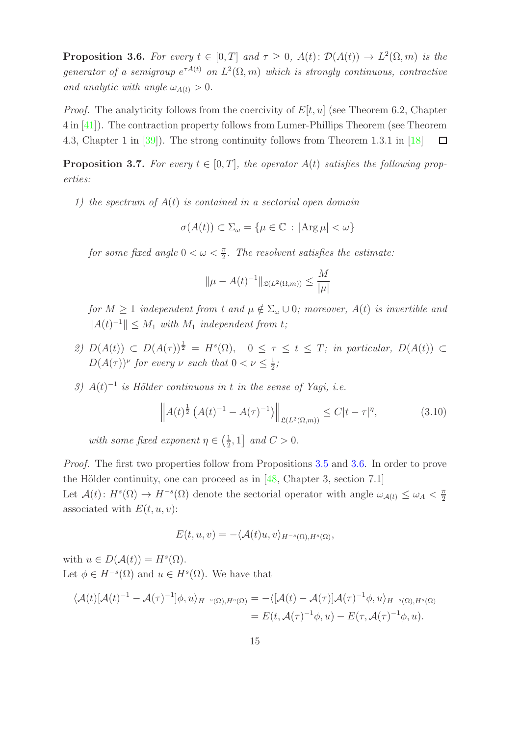<span id="page-14-0"></span>**Proposition 3.6.** For every  $t \in [0, T]$  and  $\tau \geq 0$ ,  $A(t)$ :  $\mathcal{D}(A(t)) \to L^2(\Omega, m)$  is the generator of a semigroup  $e^{\tau A(t)}$  on  $L^2(\Omega,m)$  which is strongly continuous, contractive and analytic with angle  $\omega_{A(t)} > 0$ .

*Proof.* The analyticity follows from the coercivity of  $E[t, u]$  (see Theorem 6.2, Chapter 4 in [\[41\]](#page-29-7)). The contraction property follows from Lumer-Phillips Theorem (see Theorem 4.3, Chapter 1 in [\[39\]](#page-29-8)). The strong continuity follows from Theorem 1.3.1 in [\[18\]](#page-27-14)  $\Box$ 

<span id="page-14-2"></span>**Proposition 3.7.** For every  $t \in [0, T]$ , the operator  $A(t)$  satisfies the following properties:

1) the spectrum of  $A(t)$  is contained in a sectorial open domain

$$
\sigma(A(t)) \subset \Sigma_{\omega} = \{\mu \in \mathbb{C} : |\text{Arg}\,\mu| < \omega\}
$$

for some fixed angle  $0 < \omega < \frac{\pi}{2}$ . The resolvent satisfies the estimate:

$$
\|\mu - A(t)^{-1}\|_{\mathfrak{L}(L^2(\Omega,m))} \le \frac{M}{|\mu|}
$$

for  $M \geq 1$  independent from t and  $\mu \notin \Sigma_{\omega} \cup 0$ ; moreover,  $A(t)$  is invertible and  $||A(t)^{-1}|| \leq M_1$  with  $M_1$  independent from t;

- 2)  $D(A(t)) \subset D(A(\tau))^{\frac{1}{2}} = H^s(\Omega)$ ,  $0 \leq \tau \leq t \leq T$ ; in particular,  $D(A(t)) \subset$  $D(A(\tau))^{\nu}$  for every  $\nu$  such that  $0 < \nu \leq \frac{1}{2}$  $\frac{1}{2}$ ;
- 3)  $A(t)^{-1}$  is Hölder continuous in t in the sense of Yagi, i.e.

<span id="page-14-1"></span>
$$
\left\| A(t)^{\frac{1}{2}} \left( A(t)^{-1} - A(\tau)^{-1} \right) \right\|_{\mathfrak{L}(L^{2}(\Omega,m))} \leq C|t - \tau|^{\eta}, \tag{3.10}
$$

with some fixed exponent  $\eta \in \left(\frac{1}{2}\right)$  $\frac{1}{2}$ , 1] and  $C > 0$ .

Proof. The first two properties follow from Propositions [3.5](#page-13-1) and [3.6.](#page-14-0) In order to prove the Hölder continuity, one can proceed as in  $[48, Chapter 3, section 7.1]$ Let  $\mathcal{A}(t)$ :  $H^s(\Omega) \to H^{-s}(\Omega)$  denote the sectorial operator with angle  $\omega_{\mathcal{A}(t)} \leq \omega_A < \frac{\pi}{2}$ 2 associated with  $E(t, u, v)$ :

$$
E(t, u, v) = -\langle \mathcal{A}(t)u, v \rangle_{H^{-s}(\Omega), H^{s}(\Omega)},
$$

with  $u \in D(\mathcal{A}(t)) = H^s(\Omega)$ . Let  $\phi \in H^{-s}(\Omega)$  and  $u \in H^{s}(\Omega)$ . We have that

$$
\langle \mathcal{A}(t)[\mathcal{A}(t)^{-1} - \mathcal{A}(\tau)^{-1}]\phi, u \rangle_{H^{-s}(\Omega), H^{s}(\Omega)} = -\langle [\mathcal{A}(t) - \mathcal{A}(\tau)]\mathcal{A}(\tau)^{-1}\phi, u \rangle_{H^{-s}(\Omega), H^{s}(\Omega)} = E(t, \mathcal{A}(\tau)^{-1}\phi, u) - E(\tau, \mathcal{A}(\tau)^{-1}\phi, u).
$$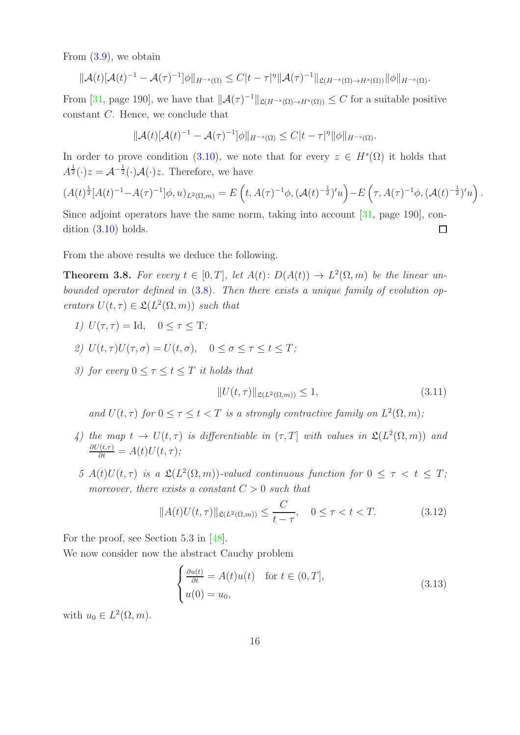From [\(3.9\)](#page-13-0), we obtain

$$
\|\mathcal{A}(t)[\mathcal{A}(t)^{-1}-\mathcal{A}(\tau)^{-1}]\phi\|_{H^{-s}(\Omega)} \leq C|t-\tau|^{\eta}\|\mathcal{A}(\tau)^{-1}\|_{\mathfrak{L}(H^{-s}(\Omega)\to H^s(\Omega))}\|\phi\|_{H^{-s}(\Omega)}.
$$

From [\[31,](#page-28-15) page 190], we have that  $||A(\tau)^{-1}||_{\mathfrak{L}(H^{-s}(\Omega) \to H^s(\Omega))} \leq C$  for a suitable positive constant C. Hence, we conclude that

$$
\|\mathcal{A}(t)[\mathcal{A}(t)^{-1}-\mathcal{A}(\tau)^{-1}]\phi\|_{H^{-s}(\Omega)} \leq C|t-\tau|^{\eta}\|\phi\|_{H^{-s}(\Omega)}.
$$

In order to prove condition [\(3.10\)](#page-14-1), we note that for every  $z \in H<sup>s</sup>(\Omega)$  it holds that  $A^{\frac{1}{2}}(\cdot)z = \mathcal{A}^{-\frac{1}{2}}(\cdot)\mathcal{A}(\cdot)z$ . Therefore, we have

$$
(A(t)^{\frac{1}{2}}[A(t)^{-1}-A(\tau)^{-1}]\phi, u)_{L^{2}(\Omega, m)}=E\left(t, A(\tau)^{-1}\phi, (\mathcal{A}(t)^{-\frac{1}{2}})'u\right)-E\left(\tau, A(\tau)^{-1}\phi, (\mathcal{A}(t)^{-\frac{1}{2}})'u\right).
$$

Since adjoint operators have the same norm, taking into account [\[31,](#page-28-15) page 190], condition [\(3.10\)](#page-14-1) holds.  $\Box$ 

From the above results we deduce the following.

<span id="page-15-0"></span>**Theorem 3.8.** For every  $t \in [0, T]$ , let  $A(t) \colon D(A(t)) \to L^2(\Omega, m)$  be the linear unbounded operator defined in [\(3.8\)](#page-13-2). Then there exists a unique family of evolution operators  $U(t, \tau) \in \mathfrak{L}(L^2(\Omega, m))$  such that

- 1)  $U(\tau, \tau) = \text{Id}, \quad 0 \leq \tau \leq \text{T};$
- 2)  $U(t, \tau)U(\tau, \sigma) = U(t, \sigma), \quad 0 \leq \sigma \leq \tau \leq t \leq T;$
- 3) for every  $0 \leq \tau \leq t \leq T$  it holds that

$$
||U(t,\tau)||_{\mathfrak{L}(L^2(\Omega,m))} \le 1,\tag{3.11}
$$

and  $U(t, \tau)$  for  $0 \leq \tau \leq t < T$  is a strongly contractive family on  $L^2(\Omega, m)$ ;

- 4) the map  $t \to U(t, \tau)$  is differentiable in  $(\tau, T]$  with values in  $\mathfrak{L}(L^2(\Omega, m))$  and  $\frac{\partial U(t,\tau)}{\partial t} = A(t)U(t,\tau);$
- 5  $A(t)U(t,\tau)$  is a  $\mathfrak{L}(L^2(\Omega,m))$ -valued continuous function for  $0 \leq \tau < t \leq T$ ; moreover, there exists a constant  $C > 0$  such that

<span id="page-15-1"></span>
$$
||A(t)U(t,\tau)||_{\mathfrak{L}(L^{2}(\Omega,m))} \leq \frac{C}{t-\tau}, \quad 0 \leq \tau < t < T.
$$
 (3.12)

For the proof, see Section 5.3 in [\[48\]](#page-29-9).

We now consider now the abstract Cauchy problem

$$
\begin{cases} \frac{\partial u(t)}{\partial t} = A(t)u(t) & \text{for } t \in (0, T], \\ u(0) = u_0, \end{cases}
$$
 (3.13)

with  $u_0 \in L^2(\Omega, m)$ .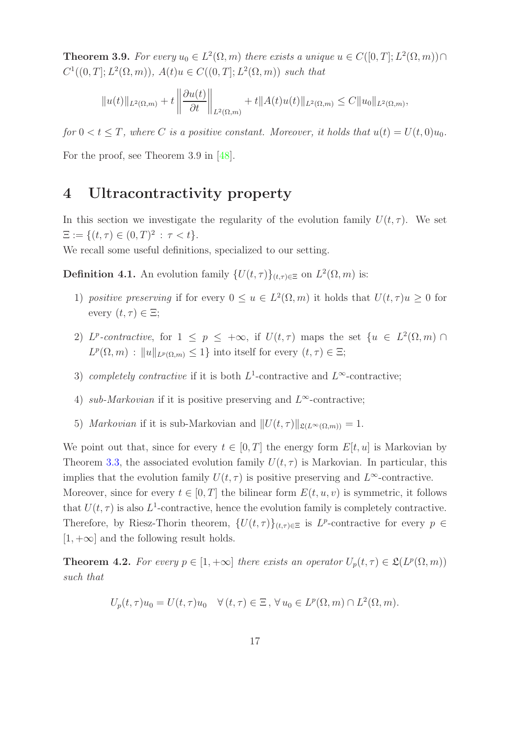**Theorem 3.9.** For every  $u_0 \in L^2(\Omega, m)$  there exists a unique  $u \in C([0, T]; L^2(\Omega, m)) \cap$  $C^1((0,T]; L^2(\Omega,m)), A(t)u \in C((0,T]; L^2(\Omega,m))$  such that

$$
||u(t)||_{L^{2}(\Omega,m)} + t \left\| \frac{\partial u(t)}{\partial t} \right\|_{L^{2}(\Omega,m)} + t ||A(t)u(t)||_{L^{2}(\Omega,m)} \leq C ||u_{0}||_{L^{2}(\Omega,m)},
$$

for  $0 < t \leq T$ , where C is a positive constant. Moreover, it holds that  $u(t) = U(t,0)u_0$ .

<span id="page-16-0"></span>For the proof, see Theorem 3.9 in [\[48\]](#page-29-9).

### 4 Ultracontractivity property

In this section we investigate the regularity of the evolution family  $U(t, \tau)$ . We set  $\Xi := \{(t, \tau) \in (0, T)^2 : \tau < t\}.$ 

We recall some useful definitions, specialized to our setting.

**Definition 4.1.** An evolution family  $\{U(t,\tau)\}_{(t,\tau)\in\Xi}$  on  $L^2(\Omega,m)$  is:

- 1) positive preserving if for every  $0 \le u \in L^2(\Omega,m)$  it holds that  $U(t,\tau)u \ge 0$  for every  $(t, \tau) \in \Xi$ ;
- 2) L<sup>p</sup>-contractive, for  $1 \leq p \leq +\infty$ , if  $U(t,\tau)$  maps the set  $\{u \in L^2(\Omega,m) \cap$  $L^p(\Omega,m) : ||u||_{L^p(\Omega,m)} \leq 1$  into itself for every  $(t,\tau) \in \Xi;$
- 3) completely contractive if it is both  $L^1$ -contractive and  $L^\infty$ -contractive;
- 4) sub-Markovian if it is positive preserving and  $L^{\infty}$ -contractive;
- 5) Markovian if it is sub-Markovian and  $||U(t, \tau)||_{\mathfrak{L}(L^{\infty}(\Omega,m))} = 1.$

We point out that, since for every  $t \in [0, T]$  the energy form  $E[t, u]$  is Markovian by Theorem [3.3,](#page-13-3) the associated evolution family  $U(t, \tau)$  is Markovian. In particular, this implies that the evolution family  $U(t, \tau)$  is positive preserving and  $L^{\infty}$ -contractive. Moreover, since for every  $t \in [0, T]$  the bilinear form  $E(t, u, v)$  is symmetric, it follows that  $U(t, \tau)$  is also  $L^1$ -contractive, hence the evolution family is completely contractive. Therefore, by Riesz-Thorin theorem,  $\{U(t,\tau)\}_{(t,\tau)\in\Xi}$  is  $L^p$ -contractive for every  $p \in$  $[1, +\infty]$  and the following result holds.

**Theorem 4.2.** For every  $p \in [1, +\infty]$  there exists an operator  $U_p(t, \tau) \in \mathfrak{L}(L^p(\Omega, m))$ such that

$$
U_p(t,\tau)u_0 = U(t,\tau)u_0 \quad \forall (t,\tau) \in \Xi, \forall u_0 \in L^p(\Omega,m) \cap L^2(\Omega,m).
$$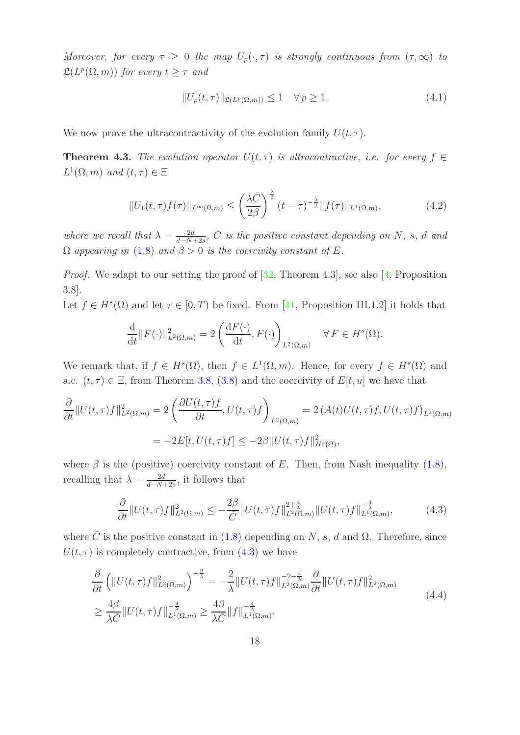Moreover, for every  $\tau \geq 0$  the map  $U_p(\cdot, \tau)$  is strongly continuous from  $(\tau, \infty)$  to  $\mathfrak{L}(L^p(\Omega,m))$  for every  $t \geq \tau$  and

$$
||U_p(t,\tau)||_{\mathfrak{L}(L^p(\Omega,m))} \le 1 \quad \forall \, p \ge 1. \tag{4.1}
$$

We now prove the ultracontractivity of the evolution family  $U(t, \tau)$ .

<span id="page-17-0"></span>**Theorem 4.3.** The evolution operator  $U(t, \tau)$  is ultracontractive, i.e. for every  $f \in$  $L^1(\Omega,m)$  and  $(t,\tau) \in \Xi$ 

$$
||U_1(t,\tau)f(\tau)||_{L^{\infty}(\Omega,m)} \le \left(\frac{\lambda \bar{C}}{2\beta}\right)^{\frac{\lambda}{2}}(t-\tau)^{-\frac{\lambda}{2}}||f(\tau)||_{L^1(\Omega,m)},\tag{4.2}
$$

where we recall that  $\lambda = \frac{2d}{d-N}$  $\frac{2d}{d-N+2s}$ ,  $\overline{C}$  is the positive constant depending on N, s, d and  $\Omega$  appearing in [\(1.8\)](#page-6-6) and  $\beta > 0$  is the coercivity constant of E.

Proof. We adapt to our setting the proof of [\[32,](#page-28-16) Theorem 4.3], see also [\[4,](#page-27-15) Proposition 3.8].

Let  $f \in H^s(\Omega)$  and let  $\tau \in [0, T)$  be fixed. From [\[41,](#page-29-7) Proposition III.1.2] it holds that

$$
\frac{\mathrm{d}}{\mathrm{d}t} || F(\cdot) ||_{L^2(\Omega,m)}^2 = 2 \left( \frac{\mathrm{d} F(\cdot)}{\mathrm{d}t}, F(\cdot) \right)_{L^2(\Omega,m)} \quad \forall F \in H^s(\Omega).
$$

We remark that, if  $f \in H^s(\Omega)$ , then  $f \in L^1(\Omega,m)$ . Hence, for every  $f \in H^s(\Omega)$  and a.e.  $(t, \tau) \in \Xi$ , from Theorem [3.8,](#page-15-0) [\(3.8\)](#page-13-2) and the coercivity of  $E[t, u]$  we have that

$$
\frac{\partial}{\partial t} ||U(t,\tau)f||_{L^{2}(\Omega,m)}^{2} = 2\left(\frac{\partial U(t,\tau)f}{\partial t}, U(t,\tau)f\right)_{L^{2}(\Omega,m)} = 2\left(A(t)U(t,\tau)f, U(t,\tau)f\right)_{L^{2}(\Omega,m)}
$$
\n
$$
= -2E[t, U(t,\tau)f] \le -2\beta ||U(t,\tau)f||_{H^{s}(\Omega)}^{2},
$$

where  $\beta$  is the (positive) coercivity constant of E. Then, from Nash inequality [\(1.8\)](#page-6-6), recalling that  $\lambda = \frac{2d}{d-N}$  $\frac{2d}{d-N+2s}$ , it follows that

<span id="page-17-1"></span>
$$
\frac{\partial}{\partial t} \|U(t,\tau)f\|_{L^{2}(\Omega,m)}^{2} \leq -\frac{2\beta}{\bar{C}} \|U(t,\tau)f\|_{L^{2}(\Omega,m)}^{2+\frac{4}{\lambda}} \|U(t,\tau)f\|_{L^{1}(\Omega,m)}^{-\frac{4}{\lambda}},\tag{4.3}
$$

where  $\overline{C}$  is the positive constant in [\(1.8\)](#page-6-6) depending on N, s, d and  $\Omega$ . Therefore, since  $U(t, \tau)$  is completely contractive, from [\(4.3\)](#page-17-1) we have

<span id="page-17-2"></span>
$$
\frac{\partial}{\partial t} \left( \|U(t,\tau)f\|_{L^{2}(\Omega,m)}^{2} \right)^{-\frac{2}{\lambda}} = -\frac{2}{\lambda} \|U(t,\tau)f\|_{L^{2}(\Omega,m)}^{-2-\frac{4}{\lambda}} \frac{\partial}{\partial t} \|U(t,\tau)f\|_{L^{2}(\Omega,m)}^{2}
$$
\n
$$
\geq \frac{4\beta}{\lambda \bar{C}} \|U(t,\tau)f\|_{L^{1}(\Omega,m)}^{-\frac{4}{\lambda}} \geq \frac{4\beta}{\lambda \bar{C}} \|f\|_{L^{1}(\Omega,m)}^{-\frac{4}{\lambda}}.
$$
\n(4.4)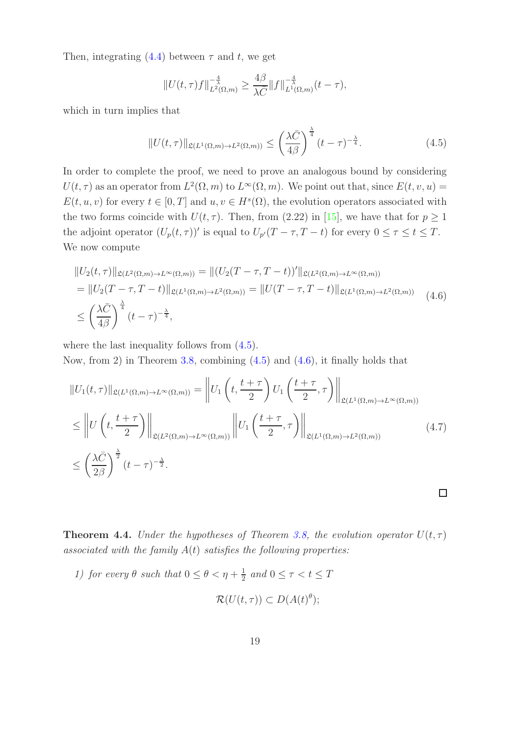Then, integrating  $(4.4)$  between  $\tau$  and t, we get

$$
||U(t,\tau)f||_{L^{2}(\Omega,m)}^{-\frac{4}{\lambda}} \geq \frac{4\beta}{\lambda \bar{C}}||f||_{L^{1}(\Omega,m)}^{-\frac{4}{\lambda}}(t-\tau),
$$

which in turn implies that

<span id="page-18-0"></span>
$$
||U(t,\tau)||_{\mathfrak{L}(L^{1}(\Omega,m)\to L^{2}(\Omega,m))} \leq \left(\frac{\lambda \bar{C}}{4\beta}\right)^{\frac{\lambda}{4}}(t-\tau)^{-\frac{\lambda}{4}}.
$$
\n(4.5)

In order to complete the proof, we need to prove an analogous bound by considering  $U(t,\tau)$  as an operator from  $L^2(\Omega,m)$  to  $L^{\infty}(\Omega,m)$ . We point out that, since  $E(t,v,u)$  =  $E(t, u, v)$  for every  $t \in [0, T]$  and  $u, v \in H<sup>s</sup>(\Omega)$ , the evolution operators associated with the two forms coincide with  $U(t, \tau)$ . Then, from (2.22) in [\[15\]](#page-27-8), we have that for  $p \ge 1$ the adjoint operator  $(U_p(t,\tau))'$  is equal to  $U_{p'}(T-\tau,T-t)$  for every  $0 \leq \tau \leq t \leq T$ . We now compute

<span id="page-18-1"></span>
$$
||U_2(t,\tau)||_{\mathfrak{L}(L^2(\Omega,m)\to L^\infty(\Omega,m))} = ||(U_2(T-\tau,T-t))'||_{\mathfrak{L}(L^2(\Omega,m)\to L^\infty(\Omega,m))}
$$
  
= 
$$
||U_2(T-\tau,T-t)||_{\mathfrak{L}(L^1(\Omega,m)\to L^2(\Omega,m))} = ||U(T-\tau,T-t)||_{\mathfrak{L}(L^1(\Omega,m)\to L^2(\Omega,m))}
$$
 (4.6)  

$$
\leq \left(\frac{\lambda \bar{C}}{4\beta}\right)^{\frac{\lambda}{4}}(t-\tau)^{-\frac{\lambda}{4}},
$$

where the last inequality follows from  $(4.5)$ .

Now, from 2) in Theorem [3.8,](#page-15-0) combining [\(4.5\)](#page-18-0) and [\(4.6\)](#page-18-1), it finally holds that

$$
||U_1(t,\tau)||_{\mathfrak{L}(L^1(\Omega,m)\to L^\infty(\Omega,m))} = ||U_1(t,\frac{t+\tau}{2})U_1(\frac{t+\tau}{2},\tau)||_{\mathfrak{L}(L^1(\Omega,m)\to L^\infty(\Omega,m))}
$$
  
\n
$$
\leq ||U(t,\frac{t+\tau}{2})||_{\mathfrak{L}(L^2(\Omega,m)\to L^\infty(\Omega,m))} ||U_1(\frac{t+\tau}{2},\tau)||_{\mathfrak{L}(L^1(\Omega,m)\to L^2(\Omega,m))}
$$
  
\n
$$
\leq \left(\frac{\lambda \bar{C}}{2\beta}\right)^{\frac{\lambda}{2}}(t-\tau)^{-\frac{\lambda}{2}}.
$$
\n(4.7)

 $\Box$ 

<span id="page-18-2"></span>**Theorem 4.4.** Under the hypotheses of Theorem [3.8,](#page-15-0) the evolution operator  $U(t, \tau)$ associated with the family  $A(t)$  satisfies the following properties:

1) for every  $\theta$  such that  $0 \leq \theta < \eta + \frac{1}{2}$  $\frac{1}{2}$  and  $0 \leq \tau < t \leq T$ 

$$
\mathcal{R}(U(t,\tau)) \subset D(A(t)^{\theta});
$$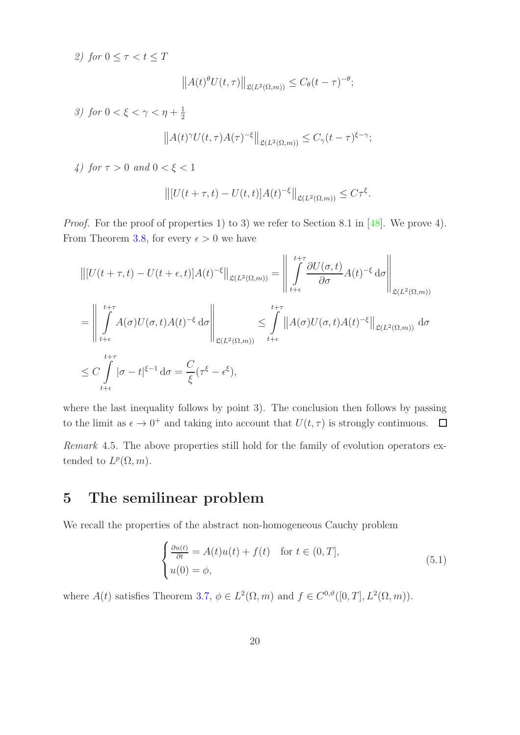2) for  $0 \leq \tau < t \leq T$  $||A(t)^{\theta}U(t,\tau)||_{\mathfrak{L}(L^2(\Omega,m))} \leq C_{\theta}(t-\tau)^{-\theta};$ 3) for  $0 < \xi < \gamma < \eta + \frac{1}{2}$ 2

$$
||A(t)^{\gamma}U(t,\tau)A(\tau)^{-\xi}||_{\mathfrak{L}(L^{2}(\Omega,m))} \leq C_{\gamma}(t-\tau)^{\xi-\gamma};
$$

4) for  $\tau > 0$  and  $0 < \xi < 1$ 

$$
\left\| [U(t+\tau,t) - U(t,t)]A(t)^{-\xi} \right\|_{\mathfrak{L}(L^2(\Omega,m))} \leq C\tau^{\xi}.
$$

Proof. For the proof of properties 1) to 3) we refer to Section 8.1 in [\[48\]](#page-29-9). We prove 4). From Theorem [3.8,](#page-15-0) for every  $\epsilon > 0$  we have

$$
\begin{split}\n&\left\| [U(t+\tau,t)-U(t+\epsilon,t)]A(t)^{-\xi} \right\|_{\mathfrak{L}(L^{2}(\Omega,m))} = \left\| \int_{t+\epsilon}^{t+\tau} \frac{\partial U(\sigma,t)}{\partial \sigma} A(t)^{-\xi} d\sigma \right\|_{\mathfrak{L}(L^{2}(\Omega,m))} \\
&= \left\| \int_{t+\epsilon}^{t+\tau} A(\sigma)U(\sigma,t)A(t)^{-\xi} d\sigma \right\|_{\mathfrak{L}(L^{2}(\Omega,m))} \leq \int_{t+\epsilon}^{t+\tau} \| A(\sigma)U(\sigma,t)A(t)^{-\xi} \|_{\mathfrak{L}(L^{2}(\Omega,m))} d\sigma \\
&\leq C \int_{t+\epsilon}^{t+\tau} |\sigma-t|^{\xi-1} d\sigma = \frac{C}{\xi} (\tau^{\xi}-\epsilon^{\xi}),\n\end{split}
$$

where the last inequality follows by point 3). The conclusion then follows by passing to the limit as  $\epsilon \to 0^+$  and taking into account that  $U(t, \tau)$  is strongly continuous.  $\Box$ 

Remark 4.5. The above properties still hold for the family of evolution operators extended to  $L^p(\Omega, m)$ .

### <span id="page-19-0"></span>5 The semilinear problem

We recall the properties of the abstract non-homogeneous Cauchy problem

<span id="page-19-1"></span>
$$
\begin{cases} \frac{\partial u(t)}{\partial t} = A(t)u(t) + f(t) & \text{for } t \in (0, T], \\ u(0) = \phi, \end{cases}
$$
 (5.1)

where  $A(t)$  satisfies Theorem [3.7,](#page-14-2)  $\phi \in L^2(\Omega, m)$  and  $f \in C^{0,\vartheta}([0, T], L^2(\Omega, m))$ .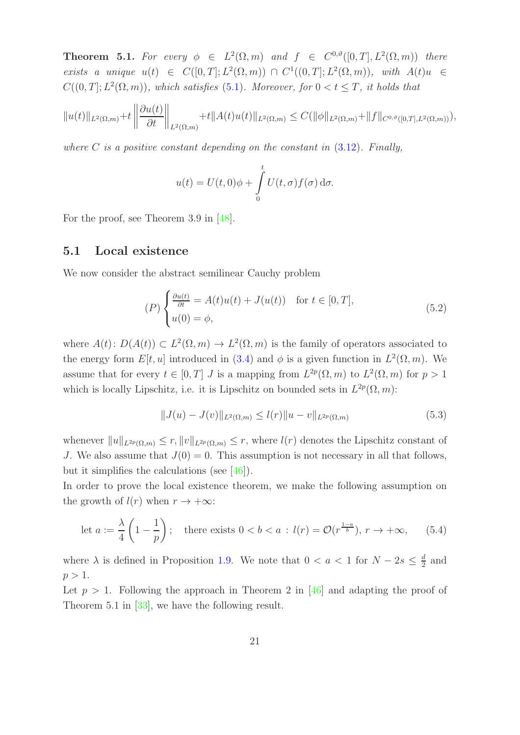<span id="page-20-3"></span>**Theorem 5.1.** For every  $\phi \in L^2(\Omega, m)$  and  $f \in C^{0,\vartheta}([0,T], L^2(\Omega, m))$  there exists a unique  $u(t) \in C([0,T]; L^2(\Omega,m)) \cap C^1((0,T]; L^2(\Omega,m)),$  with  $A(t)u \in$  $C((0,T];L^2(\Omega,m))$ , which satisfies [\(5.1\)](#page-19-1). Moreover, for  $0 < t \leq T$ , it holds that

$$
||u(t)||_{L^{2}(\Omega,m)}+t||\frac{\partial u(t)}{\partial t}||_{L^{2}(\Omega,m)}+t||A(t)u(t)||_{L^{2}(\Omega,m)} \leq C(||\phi||_{L^{2}(\Omega,m)}+||f||_{C^{0,\vartheta}([0,T],L^{2}(\Omega,m))}),
$$

where  $C$  is a positive constant depending on the constant in  $(3.12)$ . Finally,

$$
u(t) = U(t,0)\phi + \int_{0}^{t} U(t,\sigma) f(\sigma) d\sigma.
$$

For the proof, see Theorem 3.9 in [\[48\]](#page-29-9).

#### 5.1 Local existence

We now consider the abstract semilinear Cauchy problem

<span id="page-20-1"></span>
$$
(P)\begin{cases} \frac{\partial u(t)}{\partial t} = A(t)u(t) + J(u(t)) & \text{for } t \in [0, T],\\ u(0) = \phi, \end{cases}
$$
(5.2)

where  $A(t)$ :  $D(A(t)) \subset L^2(\Omega, m) \to L^2(\Omega, m)$  is the family of operators associated to the energy form  $E[t, u]$  introduced in [\(3.4\)](#page-11-1) and  $\phi$  is a given function in  $L^2(\Omega, m)$ . We assume that for every  $t \in [0, T]$  J is a mapping from  $L^{2p}(\Omega, m)$  to  $L^{2}(\Omega, m)$  for  $p > 1$ which is locally Lipschitz, i.e. it is Lipschitz on bounded sets in  $L^{2p}(\Omega, m)$ :

<span id="page-20-0"></span>
$$
||J(u) - J(v)||_{L^{2}(\Omega, m)} \leq l(r)||u - v||_{L^{2p}(\Omega, m)}
$$
\n(5.3)

whenever  $||u||_{L^{2p}(\Omega,m)} \leq r$ ,  $||v||_{L^{2p}(\Omega,m)} \leq r$ , where  $l(r)$  denotes the Lipschitz constant of J. We also assume that  $J(0) = 0$ . This assumption is not necessary in all that follows, but it simplifies the calculations (see [\[46\]](#page-29-10)).

In order to prove the local existence theorem, we make the following assumption on the growth of  $l(r)$  when  $r \to +\infty$ :

<span id="page-20-2"></span>let 
$$
a := \frac{\lambda}{4} \left( 1 - \frac{1}{p} \right)
$$
; there exists  $0 < b < a : l(r) = \mathcal{O}(r^{\frac{1-a}{b}}), r \to +\infty$ , (5.4)

where  $\lambda$  is defined in Proposition [1.9.](#page-6-1) We note that  $0 < a < 1$  for  $N - 2s \leq \frac{d}{2}$  $\frac{d}{2}$  and  $p > 1$ .

Let  $p > 1$ . Following the approach in Theorem 2 in [\[46\]](#page-29-10) and adapting the proof of Theorem 5.1 in [\[33\]](#page-28-1), we have the following result.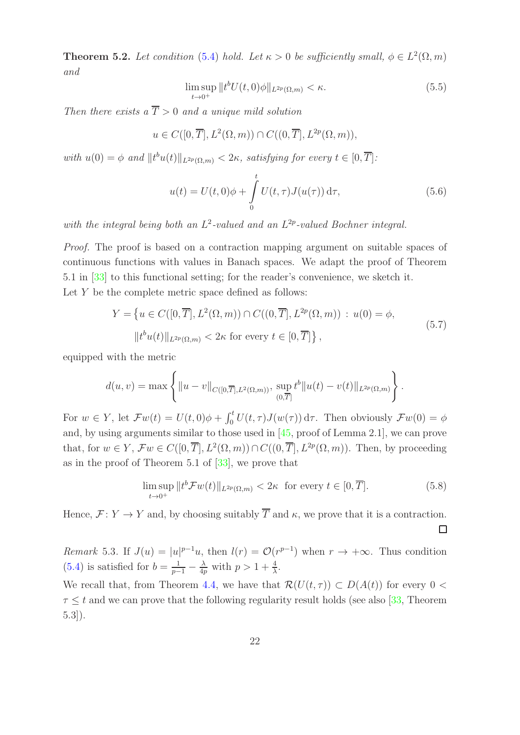<span id="page-21-0"></span>**Theorem 5.2.** Let condition [\(5.4\)](#page-20-2) hold. Let  $\kappa > 0$  be sufficiently small,  $\phi \in L^2(\Omega, m)$ and

$$
\limsup_{t \to 0^+} ||t^b U(t, 0)\phi||_{L^{2p}(\Omega, m)} < \kappa. \tag{5.5}
$$

Then there exists a  $\overline{T} > 0$  and a unique mild solution

$$
u \in C([0,\overline{T}], L^2(\Omega,m)) \cap C((0,\overline{T}], L^{2p}(\Omega,m)),
$$

with  $u(0) = \phi$  and  $||t^b u(t)||_{L^{2p}(\Omega,m)} < 2\kappa$ , satisfying for every  $t \in [0, \overline{T}]$ :

<span id="page-21-1"></span>
$$
u(t) = U(t,0)\phi + \int_{0}^{t} U(t,\tau)J(u(\tau)) d\tau,
$$
\n(5.6)

with the integral being both an  $L^2$ -valued and an  $L^{2p}$ -valued Bochner integral.

Proof. The proof is based on a contraction mapping argument on suitable spaces of continuous functions with values in Banach spaces. We adapt the proof of Theorem 5.1 in [\[33\]](#page-28-1) to this functional setting; for the reader's convenience, we sketch it. Let  $Y$  be the complete metric space defined as follows:

$$
Y = \{ u \in C([0,\overline{T}], L^2(\Omega,m)) \cap C((0,\overline{T}], L^{2p}(\Omega,m)) : u(0) = \phi,
$$
  

$$
||t^b u(t)||_{L^{2p}(\Omega,m)} < 2\kappa \text{ for every } t \in [0,\overline{T}] \},
$$
\n
$$
(5.7)
$$

equipped with the metric

$$
d(u, v) = \max \left\{ ||u - v||_{C([0,\overline{T}], L^2(\Omega,m))}, \sup_{(0,\overline{T}]} t^b ||u(t) - v(t)||_{L^{2p}(\Omega,m)} \right\}.
$$

For  $w \in Y$ , let  $\mathcal{F}w(t) = U(t,0)\phi + \int_0^t U(t,\tau)J(w(\tau)) d\tau$ . Then obviously  $\mathcal{F}w(0) = \phi$ and, by using arguments similar to those used in [\[45,](#page-29-11) proof of Lemma 2.1], we can prove that, for  $w \in Y$ ,  $\mathcal{F}w \in C([0,\overline{T}], L^2(\Omega,m)) \cap C((0,\overline{T}], L^{2p}(\Omega,m))$ . Then, by proceeding as in the proof of Theorem 5.1 of [\[33\]](#page-28-1), we prove that

$$
\limsup_{t \to 0^+} ||t^b \mathcal{F} w(t)||_{L^{2p}(\Omega, m)} < 2\kappa \quad \text{for every } t \in [0, \overline{T}].\tag{5.8}
$$

Hence,  $\mathcal{F} \colon Y \to Y$  and, by choosing suitably  $\overline{T}$  and  $\kappa$ , we prove that it is a contraction.  $\Box$ 

Remark 5.3. If  $J(u) = |u|^{p-1}u$ , then  $l(r) = \mathcal{O}(r^{p-1})$  when  $r \to +\infty$ . Thus condition  $(5.4)$  is satisfied for  $b = \frac{1}{p-1} - \frac{\lambda}{4p}$  $\frac{\lambda}{4p}$  with  $p > 1 + \frac{4}{\lambda}$ .

We recall that, from Theorem [4.4,](#page-18-2) we have that  $\mathcal{R}(U(t,\tau)) \subset D(A(t))$  for every  $0 <$  $\tau \leq t$  and we can prove that the following regularity result holds (see also [\[33,](#page-28-1) Theorem 5.3]).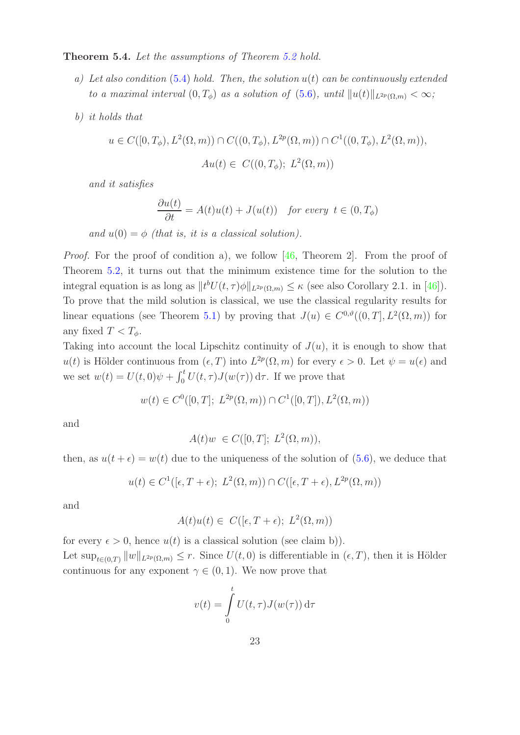<span id="page-22-0"></span>Theorem 5.4. Let the assumptions of Theorem [5.2](#page-21-0) hold.

- a) Let also condition  $(5.4)$  hold. Then, the solution  $u(t)$  can be continuously extended to a maximal interval  $(0, T_{\phi})$  as a solution of  $(5.6)$ , until  $||u(t)||_{L^{2p}(\Omega,m)} < \infty$ ;
- b) it holds that

$$
u \in C([0, T_{\phi}), L^{2}(\Omega, m)) \cap C((0, T_{\phi}), L^{2p}(\Omega, m)) \cap C^{1}((0, T_{\phi}), L^{2}(\Omega, m)),
$$
  

$$
Au(t) \in C((0, T_{\phi}); L^{2}(\Omega, m))
$$

and it satisfies

$$
\frac{\partial u(t)}{\partial t} = A(t)u(t) + J(u(t)) \quad \text{for every } t \in (0, T_{\phi})
$$

and  $u(0) = \phi$  (that is, it is a classical solution).

Proof. For the proof of condition a), we follow [\[46,](#page-29-10) Theorem 2]. From the proof of Theorem [5.2,](#page-21-0) it turns out that the minimum existence time for the solution to the integral equation is as long as  $||t^bU(t, \tau)\phi||_{L^{2p}(\Omega,m)} \leq \kappa$  (see also Corollary 2.1. in [\[46\]](#page-29-10)). To prove that the mild solution is classical, we use the classical regularity results for linear equations (see Theorem [5.1\)](#page-20-3) by proving that  $J(u) \in C^{0,\vartheta}((0,T], L^2(\Omega,m))$  for any fixed  $T < T_{\phi}$ .

Taking into account the local Lipschitz continuity of  $J(u)$ , it is enough to show that  $u(t)$  is Hölder continuous from  $(\epsilon, T)$  into  $L^{2p}(\Omega, m)$  for every  $\epsilon > 0$ . Let  $\psi = u(\epsilon)$  and we set  $w(t) = U(t,0)\psi + \int_0^t U(t,\tau)J(w(\tau)) d\tau$ . If we prove that

$$
w(t) \in C^0([0,T]; L^{2p}(\Omega,m)) \cap C^1([0,T]), L^2(\Omega,m))
$$

and

$$
A(t)w \in C([0,T]; L^2(\Omega,m)),
$$

then, as  $u(t+\epsilon) = w(t)$  due to the uniqueness of the solution of [\(5.6\)](#page-21-1), we deduce that

$$
u(t) \in C^{1}([\epsilon, T + \epsilon); L^{2}(\Omega, m)) \cap C([\epsilon, T + \epsilon), L^{2p}(\Omega, m))
$$

and

$$
A(t)u(t) \in C([\epsilon, T + \epsilon); L^2(\Omega, m))
$$

for every  $\epsilon > 0$ , hence  $u(t)$  is a classical solution (see claim b)). Let  $\sup_{t\in(0,T)} \|w\|_{L^{2p}(\Omega,m)} \leq r$ . Since  $U(t,0)$  is differentiable in  $(\epsilon,T)$ , then it is Hölder continuous for any exponent  $\gamma \in (0,1)$ . We now prove that

$$
v(t) = \int_{0}^{t} U(t, \tau) J(w(\tau)) d\tau
$$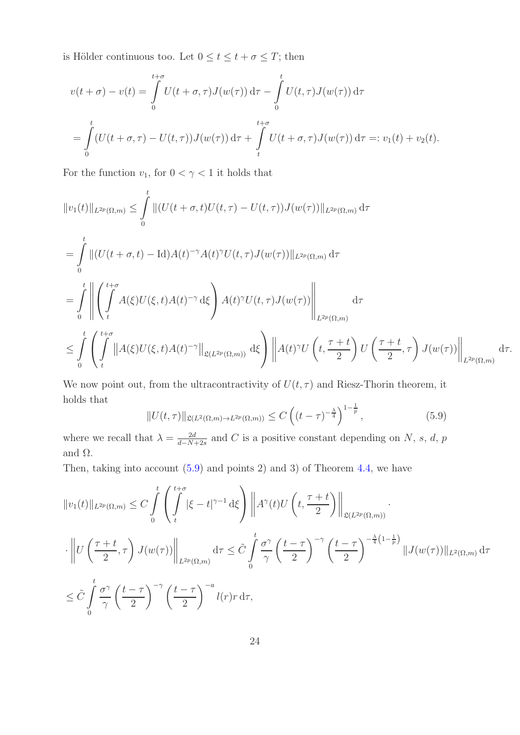is Hölder continuous too. Let  $0\leq t\leq t+\sigma\leq T;$  then

$$
v(t+\sigma) - v(t) = \int_{0}^{t+\sigma} U(t+\sigma,\tau)J(w(\tau)) d\tau - \int_{0}^{t} U(t,\tau)J(w(\tau)) d\tau
$$
  
= 
$$
\int_{0}^{t} (U(t+\sigma,\tau) - U(t,\tau))J(w(\tau)) d\tau + \int_{t}^{t+\sigma} U(t+\sigma,\tau)J(w(\tau)) d\tau =: v_1(t) + v_2(t).
$$

For the function  $v_1,$  for  $0<\gamma<1$  it holds that

$$
||v_1(t)||_{L^{2p}(\Omega,m)} \leq \int_0^t ||(U(t+\sigma,t)U(t,\tau)-U(t,\tau))J(w(\tau))||_{L^{2p}(\Omega,m)} d\tau
$$
  
\n
$$
= \int_0^t ||(U(t+\sigma,t)-\text{Id})A(t)^{-\gamma}A(t)^{\gamma}U(t,\tau)J(w(\tau))||_{L^{2p}(\Omega,m)} d\tau
$$
  
\n
$$
= \int_0^t \left\| \int_t^{t+\sigma} A(\xi)U(\xi,t)A(t)^{-\gamma}d\xi \right\} A(t)^{\gamma}U(t,\tau)J(w(\tau)) \right\|_{L^{2p}(\Omega,m)} d\tau
$$
  
\n
$$
\leq \int_0^t \left( \int_t^{t+\sigma} ||A(\xi)U(\xi,t)A(t)^{-\gamma}||_{\mathfrak{L}(L^{2p}(\Omega,m))} d\xi \right) ||A(t)^{\gamma}U\left(t,\frac{\tau+t}{2}\right)U\left(\frac{\tau+t}{2},\tau\right)J(w(\tau))||_{L^{2p}(\Omega,m)} d\tau.
$$

We now point out, from the ultracontractivity of  $U(t, \tau)$  and Riesz-Thorin theorem, it holds that

<span id="page-23-0"></span>
$$
||U(t,\tau)||_{\mathfrak{L}(L^2(\Omega,m)\to L^{2p}(\Omega,m))}\leq C\left((t-\tau)^{-\frac{\lambda}{4}}\right)^{1-\frac{1}{p}},\qquad(5.9)
$$

where we recall that  $\lambda = \frac{2d}{d-N}$ .  $\frac{2d}{d-N+2s}$  and C is a positive constant depending on N, s, d, p and  $\Omega$ .

Then, taking into account [\(5.9\)](#page-23-0) and points 2) and 3) of Theorem [4.4,](#page-18-2) we have

$$
||v_1(t)||_{L^{2p}(\Omega,m)} \leq C \int_0^t \left( \int_t^{t+\sigma} |\xi - t|^{\gamma - 1} d\xi \right) \left\| A^{\gamma}(t) U\left(t, \frac{\tau + t}{2}\right) \right\|_{\mathfrak{L}(L^{2p}(\Omega,m))}.
$$
  

$$
\cdot \left\| U\left(\frac{\tau + t}{2}, \tau\right) J(w(\tau)) \right\|_{L^{2p}(\Omega,m)} d\tau \leq \tilde{C} \int_0^t \frac{\sigma^{\gamma}}{\gamma} \left(\frac{t - \tau}{2}\right)^{-\gamma} \left(\frac{t - \tau}{2}\right)^{-\frac{\lambda}{4}\left(1 - \frac{1}{p}\right)} ||J(w(\tau))||_{L^2(\Omega,m)} d\tau
$$
  

$$
\leq \tilde{C} \int_0^t \frac{\sigma^{\gamma}}{\gamma} \left(\frac{t - \tau}{2}\right)^{-\gamma} \left(\frac{t - \tau}{2}\right)^{-a} l(r) r d\tau,
$$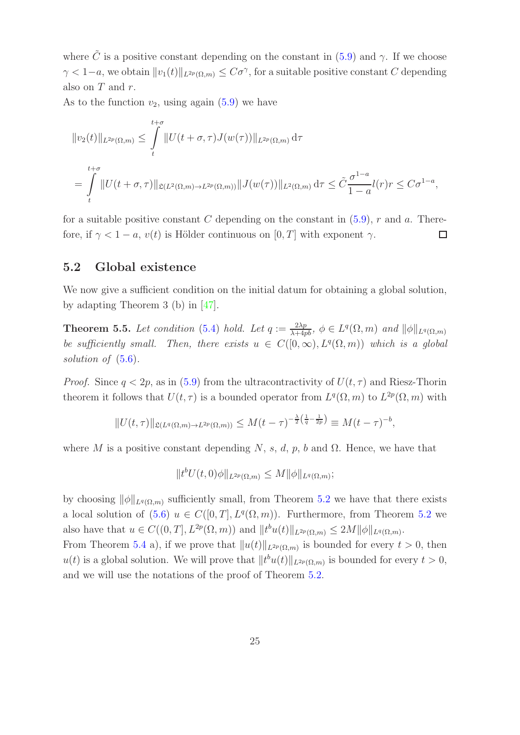where  $\tilde{C}$  is a positive constant depending on the constant in [\(5.9\)](#page-23-0) and  $\gamma$ . If we choose  $\gamma < 1-a$ , we obtain  $||v_1(t)||_{L^{2p}(\Omega,m)} \leq C\sigma^{\gamma}$ , for a suitable positive constant C depending also on  $T$  and  $r$ .

As to the function  $v_2$ , using again [\(5.9\)](#page-23-0) we have

$$
||v_2(t)||_{L^{2p}(\Omega,m)} \le \int_t^{t+\sigma} ||U(t+\sigma,\tau)J(w(\tau))||_{L^{2p}(\Omega,m)} d\tau
$$
  
= 
$$
\int_t^{t+\sigma} ||U(t+\sigma,\tau)||_{\mathfrak{L}(L^2(\Omega,m)\to L^{2p}(\Omega,m))} ||J(w(\tau))||_{L^2(\Omega,m)} d\tau \le \tilde{C} \frac{\sigma^{1-a}}{1-a} l(r)r \le C\sigma^{1-a},
$$

for a suitable positive constant C depending on the constant in  $(5.9)$ , r and a. Therefore, if  $\gamma < 1 - a$ ,  $v(t)$  is Hölder continuous on [0, T] with exponent  $\gamma$ .  $\Box$ 

#### 5.2 Global existence

We now give a sufficient condition on the initial datum for obtaining a global solution, by adapting Theorem 3 (b) in [\[47\]](#page-29-12).

**Theorem 5.5.** Let condition [\(5.4\)](#page-20-2) hold. Let  $q := \frac{2\lambda p}{\lambda + 4pb}$ ,  $\phi \in L^q(\Omega, m)$  and  $\|\phi\|_{L^q(\Omega, m)}$ be sufficiently small. Then, there exists  $u \in C([0,\infty), L^q(\Omega,m))$  which is a global solution of  $(5.6)$ .

*Proof.* Since  $q < 2p$ , as in [\(5.9\)](#page-23-0) from the ultracontractivity of  $U(t, \tau)$  and Riesz-Thorin theorem it follows that  $U(t, \tau)$  is a bounded operator from  $L^q(\Omega, m)$  to  $L^{2p}(\Omega, m)$  with

$$
||U(t,\tau)||_{\mathfrak{L}(L^{q}(\Omega,m)\to L^{2p}(\Omega,m))}\leq M(t-\tau)^{-\frac{\lambda}{2}\left(\frac{1}{q}-\frac{1}{2p}\right)}\equiv M(t-\tau)^{-b},
$$

where M is a positive constant depending N, s, d, p, b and  $\Omega$ . Hence, we have that

$$
||t^b U(t,0)\phi||_{L^{2p}(\Omega,m)} \leq M ||\phi||_{L^q(\Omega,m)};
$$

by choosing  $\|\phi\|_{L^q(\Omega,m)}$  sufficiently small, from Theorem [5.2](#page-21-0) we have that there exists a local solution of  $(5.6)$   $u \in C([0, T], L<sup>q</sup>(\Omega, m))$ . Furthermore, from Theorem [5.2](#page-21-0) we also have that  $u \in C((0,T], L^{2p}(\Omega,m))$  and  $||t^bu(t)||_{L^{2p}(\Omega,m)} \leq 2M ||\phi||_{L^q(\Omega,m)}$ .

From Theorem [5.4](#page-22-0) a), if we prove that  $||u(t)||_{L^{2p}(\Omega,m)}$  is bounded for every  $t > 0$ , then  $u(t)$  is a global solution. We will prove that  $||t^b u(t)||_{L^{2p}(\Omega,m)}$  is bounded for every  $t > 0$ , and we will use the notations of the proof of Theorem [5.2.](#page-21-0)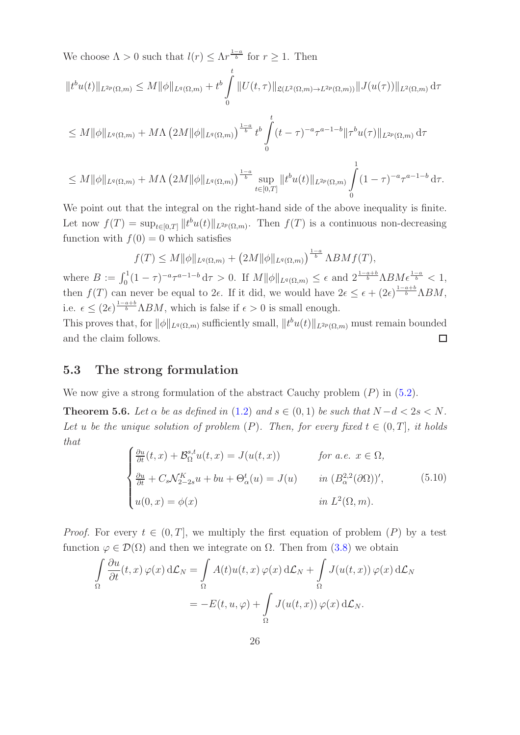We choose  $\Lambda > 0$  such that  $l(r) \leq \Lambda r^{\frac{1-a}{b}}$  for  $r \geq 1$ . Then

$$
||t^{b}u(t)||_{L^{2p}(\Omega,m)} \leq M ||\phi||_{L^{q}(\Omega,m)} + t^{b} \int_{0}^{t} ||U(t,\tau)||_{\mathfrak{L}(L^{2}(\Omega,m)\to L^{2p}(\Omega,m))} ||J(u(\tau))||_{L^{2}(\Omega,m)} d\tau
$$
  

$$
\leq M ||\phi||_{L^{q}(\Omega,m)} + M\Lambda \left(2M ||\phi||_{L^{q}(\Omega,m)}\right)^{\frac{1-a}{b}} t^{b} \int_{0}^{t} (t-\tau)^{-a} \tau^{a-1-b} ||\tau^{b}u(\tau)||_{L^{2p}(\Omega,m)} d\tau
$$
  

$$
\leq M ||\phi||_{L^{q}(\Omega,m)} + M\Lambda \left(2M ||\phi||_{L^{q}(\Omega,m)}\right)^{\frac{1-a}{b}} \sup_{t\in[0,T]} ||t^{b}u(t)||_{L^{2p}(\Omega,m)} \int_{0}^{1} (1-\tau)^{-a} \tau^{a-1-b} d\tau.
$$

We point out that the integral on the right-hand side of the above inequality is finite. Let now  $f(T) = \sup_{t \in [0,T]} ||t^b u(t)||_{L^{2p}(\Omega,m)}$ . Then  $f(T)$  is a continuous non-decreasing function with  $f(0) = 0$  which satisfies

$$
f(T) \leq M \|\phi\|_{L^q(\Omega,m)} + \left(2M \|\phi\|_{L^q(\Omega,m)}\right)^{\frac{1-a}{b}} \Lambda BMf(T),
$$

where  $B := \int_0^1 (1-\tau)^{-a} \tau^{a-1-b} d\tau > 0$ . If  $M ||\phi||_{L^q(\Omega,m)} \leq \epsilon$  and  $2^{\frac{1-a+b}{b}} \Lambda B M \epsilon^{\frac{1-a}{b}} < 1$ , then  $f(T)$  can never be equal to  $2\epsilon$ . If it did, we would have  $2\epsilon \leq \epsilon + (2\epsilon)^{\frac{1-a+b}{b}}\Lambda BM$ , i.e.  $\epsilon \leq (2\epsilon)^{\frac{1-a+b}{b}} \Lambda BM$ , which is false if  $\epsilon > 0$  is small enough.

This proves that, for  $\|\phi\|_{L^q(\Omega,m)}$  sufficiently small,  $\|t^bu(t)\|_{L^{2p}(\Omega,m)}$  must remain bounded and the claim follows.  $\Box$ 

### 5.3 The strong formulation

We now give a strong formulation of the abstract Cauchy problem  $(P)$  in  $(5.2)$ .

<span id="page-25-0"></span>**Theorem 5.6.** Let  $\alpha$  be as defined in [\(1.2\)](#page-5-0) and  $s \in (0,1)$  be such that  $N - d < 2s < N$ . Let u be the unique solution of problem  $(P)$ . Then, for every fixed  $t \in (0, T]$ , it holds that

$$
\begin{cases}\n\frac{\partial u}{\partial t}(t, x) + \mathcal{B}_{\Omega}^{s,t}u(t, x) = J(u(t, x)) & \text{for a.e. } x \in \Omega, \\
\frac{\partial u}{\partial t} + C_s \mathcal{N}_{2-2s}^K u + bu + \Theta_{\alpha}^t(u) = J(u) & \text{in } (B_{\alpha}^{2,2}(\partial \Omega))', \\
u(0, x) = \phi(x) & \text{in } L^2(\Omega, m).\n\end{cases}
$$
\n(5.10)

*Proof.* For every  $t \in (0, T]$ , we multiply the first equation of problem  $(P)$  by a test function  $\varphi \in \mathcal{D}(\Omega)$  and then we integrate on  $\Omega$ . Then from [\(3.8\)](#page-13-2) we obtain

$$
\int_{\Omega} \frac{\partial u}{\partial t}(t, x) \varphi(x) d\mathcal{L}_N = \int_{\Omega} A(t) u(t, x) \varphi(x) d\mathcal{L}_N + \int_{\Omega} J(u(t, x)) \varphi(x) d\mathcal{L}_N
$$

$$
= -E(t, u, \varphi) + \int_{\Omega} J(u(t, x)) \varphi(x) d\mathcal{L}_N.
$$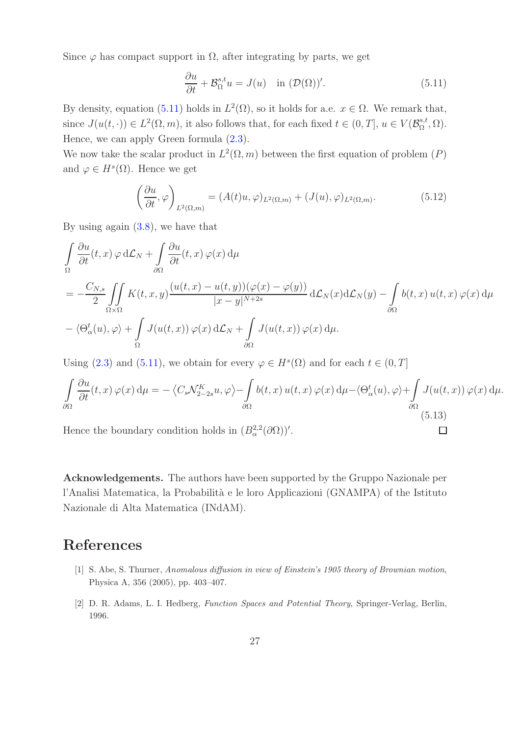Since  $\varphi$  has compact support in  $\Omega$ , after integrating by parts, we get

<span id="page-26-2"></span>
$$
\frac{\partial u}{\partial t} + \mathcal{B}_{\Omega}^{s,t} u = J(u) \quad \text{in } (\mathcal{D}(\Omega))'. \tag{5.11}
$$

By density, equation [\(5.11\)](#page-26-2) holds in  $L^2(\Omega)$ , so it holds for a.e.  $x \in \Omega$ . We remark that, since  $J(u(t, \cdot)) \in L^2(\Omega, m)$ , it also follows that, for each fixed  $t \in (0, T]$ ,  $u \in V(\mathcal{B}_{\Omega}^{s,t})$  $_{\Omega}^{s,t},\Omega).$ Hence, we can apply Green formula [\(2.3\)](#page-9-1).

We now take the scalar product in  $L^2(\Omega, m)$  between the first equation of problem  $(P)$ and  $\varphi \in H^s(\Omega)$ . Hence we get

$$
\left(\frac{\partial u}{\partial t}, \varphi\right)_{L^2(\Omega, m)} = (A(t)u, \varphi)_{L^2(\Omega, m)} + (J(u), \varphi)_{L^2(\Omega, m)}.
$$
\n(5.12)

By using again [\(3.8\)](#page-13-2), we have that

$$
\int_{\Omega} \frac{\partial u}{\partial t}(t, x) \varphi d\mathcal{L}_N + \int_{\partial \Omega} \frac{\partial u}{\partial t}(t, x) \varphi(x) d\mu
$$
\n
$$
= -\frac{C_{N,s}}{2} \iint_{\Omega \times \Omega} K(t, x, y) \frac{(u(t, x) - u(t, y))(\varphi(x) - \varphi(y))}{|x - y|^{N + 2s}} d\mathcal{L}_N(x) d\mathcal{L}_N(y) - \int_{\partial \Omega} b(t, x) u(t, x) \varphi(x) d\mu
$$
\n
$$
- \langle \Theta_{\alpha}^{t}(u), \varphi \rangle + \int_{\Omega} J(u(t, x)) \varphi(x) d\mathcal{L}_N + \int_{\partial \Omega} J(u(t, x)) \varphi(x) d\mu.
$$

Using [\(2.3\)](#page-9-1) and [\(5.11\)](#page-26-2), we obtain for every  $\varphi \in H^{s}(\Omega)$  and for each  $t \in (0, T]$ 

$$
\int_{\partial\Omega} \frac{\partial u}{\partial t}(t,x) \,\varphi(x) \,d\mu = -\left\langle C_s \mathcal{N}_{2-2s}^K u, \varphi \right\rangle - \int_{\partial\Omega} b(t,x) \,u(t,x) \,\varphi(x) \,d\mu - \left\langle \Theta_\alpha^t(u), \varphi \right\rangle + \int_{\partial\Omega} J(u(t,x)) \,\varphi(x) \,d\mu.
$$
\n(5.13)

 $\Box$ 

Hence the boundary condition holds in  $(B^{2,2}_{\alpha}(\partial \Omega))'$ .

Acknowledgements. The authors have been supported by the Gruppo Nazionale per l'Analisi Matematica, la Probabilità e le loro Applicazioni (GNAMPA) of the Istituto Nazionale di Alta Matematica (INdAM).

## <span id="page-26-0"></span>References

- [1] S. Abe, S. Thurner, Anomalous diffusion in view of Einstein's 1905 theory of Brownian motion, Physica A, 356 (2005), pp. 403–407.
- <span id="page-26-1"></span>[2] D. R. Adams, L. I. Hedberg, Function Spaces and Potential Theory, Springer-Verlag, Berlin, 1996.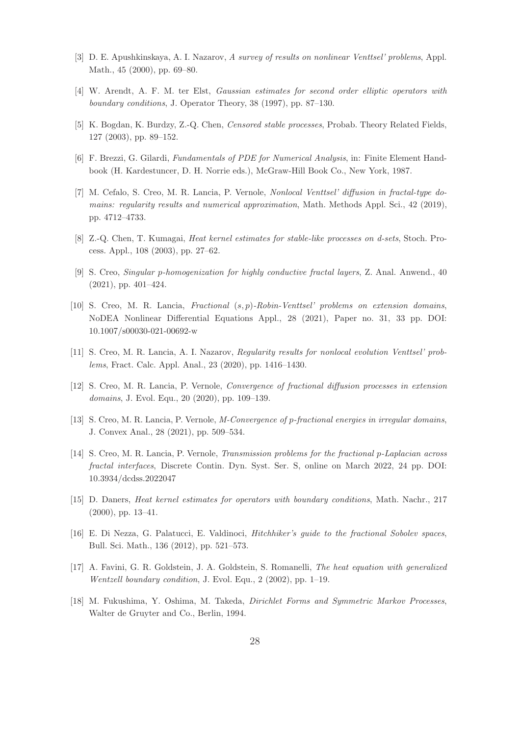- <span id="page-27-15"></span><span id="page-27-0"></span>[3] D. E. Apushkinskaya, A. I. Nazarov, A survey of results on nonlinear Venttsel' problems, Appl. Math., 45 (2000), pp. 69–80.
- <span id="page-27-10"></span>[4] W. Arendt, A. F. M. ter Elst, Gaussian estimates for second order elliptic operators with boundary conditions, J. Operator Theory, 38 (1997), pp. 87–130.
- <span id="page-27-12"></span>[5] K. Bogdan, K. Burdzy, Z.-Q. Chen, Censored stable processes, Probab. Theory Related Fields, 127 (2003), pp. 89–152.
- <span id="page-27-13"></span>[6] F. Brezzi, G. Gilardi, Fundamentals of PDE for Numerical Analysis, in: Finite Element Handbook (H. Kardestuncer, D. H. Norrie eds.), McGraw-Hill Book Co., New York, 1987.
- [7] M. Cefalo, S. Creo, M. R. Lancia, P. Vernole, Nonlocal Venttsel' diffusion in fractal-type domains: regularity results and numerical approximation, Math. Methods Appl. Sci., 42 (2019), pp. 4712–4733.
- <span id="page-27-11"></span><span id="page-27-4"></span>[8] Z.-Q. Chen, T. Kumagai, Heat kernel estimates for stable-like processes on d-sets, Stoch. Process. Appl., 108 (2003), pp. 27–62.
- <span id="page-27-6"></span>[9] S. Creo, Singular p-homogenization for highly conductive fractal layers, Z. Anal. Anwend., 40 (2021), pp. 401–424.
- [10] S. Creo, M. R. Lancia, Fractional  $(s, p)$ -Robin-Venttsel' problems on extension domains, NoDEA Nonlinear Differential Equations Appl., 28 (2021), Paper no. 31, 33 pp. DOI: 10.1007/s00030-021-00692-w
- <span id="page-27-3"></span><span id="page-27-2"></span>[11] S. Creo, M. R. Lancia, A. I. Nazarov, Regularity results for nonlocal evolution Venttsel' problems, Fract. Calc. Appl. Anal., 23 (2020), pp. 1416–1430.
- <span id="page-27-5"></span>[12] S. Creo, M. R. Lancia, P. Vernole, Convergence of fractional diffusion processes in extension domains, J. Evol. Equ., 20 (2020), pp. 109–139.
- <span id="page-27-7"></span>[13] S. Creo, M. R. Lancia, P. Vernole, M-Convergence of p-fractional energies in irregular domains, J. Convex Anal., 28 (2021), pp. 509–534.
- [14] S. Creo, M. R. Lancia, P. Vernole, Transmission problems for the fractional p-Laplacian across fractal interfaces, Discrete Contin. Dyn. Syst. Ser. S, online on March 2022, 24 pp. DOI: 10.3934/dcdss.2022047
- <span id="page-27-9"></span><span id="page-27-8"></span>[15] D. Daners, Heat kernel estimates for operators with boundary conditions, Math. Nachr., 217 (2000), pp. 13–41.
- <span id="page-27-1"></span>[16] E. Di Nezza, G. Palatucci, E. Valdinoci, Hitchhiker's guide to the fractional Sobolev spaces, Bull. Sci. Math., 136 (2012), pp. 521–573.
- [17] A. Favini, G. R. Goldstein, J. A. Goldstein, S. Romanelli, The heat equation with generalized Wentzell boundary condition, J. Evol. Equ., 2 (2002), pp. 1–19.
- <span id="page-27-14"></span>[18] M. Fukushima, Y. Oshima, M. Takeda, Dirichlet Forms and Symmetric Markov Processes, Walter de Gruyter and Co., Berlin, 1994.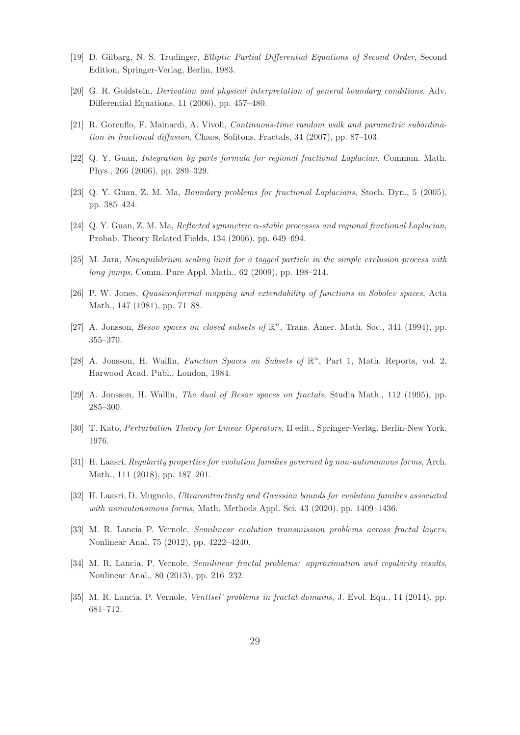- <span id="page-28-9"></span><span id="page-28-0"></span>[19] D. Gilbarg, N. S. Trudinger, Elliptic Partial Differential Equations of Second Order, Second Edition, Springer-Verlag, Berlin, 1983.
- <span id="page-28-4"></span>[20] G. R. Goldstein, Derivation and physical interpretation of general boundary conditions, Adv. Differential Equations, 11 (2006), pp. 457–480.
- <span id="page-28-10"></span>[21] R. Gorenflo, F. Mainardi, A. Vivoli, Continuous-time random walk and parametric subordination in fractional diffusion, Chaos, Solitons, Fractals, 34 (2007), pp. 87–103.
- <span id="page-28-11"></span>[22] Q. Y. Guan, Integration by parts formula for regional fractional Laplacian. Commun. Math. Phys., 266 (2006), pp. 289–329.
- <span id="page-28-12"></span>[23] Q. Y. Guan, Z. M. Ma, Boundary problems for fractional Laplacians, Stoch. Dyn., 5 (2005), pp. 385–424.
- <span id="page-28-3"></span>[24] Q. Y. Guan, Z. M. Ma, Reflected symmetric α-stable processes and regional fractional Laplacian, Probab. Theory Related Fields, 134 (2006), pp. 649–694.
- <span id="page-28-5"></span>[25] M. Jara, Nonequilibrium scaling limit for a tagged particle in the simple exclusion process with long jumps, Comm. Pure Appl. Math., 62 (2009), pp. 198–214.
- <span id="page-28-6"></span>[26] P. W. Jones, Quasiconformal mapping and extendability of functions in Sobolev spaces, Acta Math., 147 (1981), pp. 71–88.
- <span id="page-28-7"></span>[27] A. Jonsson, *Besov spaces on closed subsets of*  $\mathbb{R}^n$ , Trans. Amer. Math. Soc., 341 (1994), pp. 355–370.
- <span id="page-28-8"></span>[28] A. Jonsson, H. Wallin, Function Spaces on Subsets of  $\mathbb{R}^n$ , Part 1, Math. Reports, vol. 2, Harwood Acad. Publ., London, 1984.
- <span id="page-28-14"></span>[29] A. Jonsson, H. Wallin, The dual of Besov spaces on fractals, Studia Math., 112 (1995), pp. 285–300.
- <span id="page-28-15"></span>[30] T. Kato, Perturbation Theory for Linear Operators, II edit., Springer-Verlag, Berlin-New York, 1976.
- <span id="page-28-16"></span>[31] H. Laasri, Regularity properties for evolution families governed by non-autonomous forms, Arch. Math., 111 (2018), pp. 187–201.
- <span id="page-28-1"></span>[32] H. Laasri, D. Mugnolo, Ultracontractivity and Gaussian bounds for evolution families associated with nonautonomous forms, Math. Methods Appl. Sci. 43 (2020), pp. 1409–1436.
- <span id="page-28-13"></span>[33] M. R. Lancia P. Vernole, Semilinear evolution transmission problems across fractal layers, Nonlinear Anal. 75 (2012), pp. 4222–4240.
- <span id="page-28-2"></span>[34] M. R. Lancia, P. Vernole, Semilinear fractal problems: approximation and regularity results, Nonlinear Anal., 80 (2013), pp. 216–232.
- [35] M. R. Lancia, P. Vernole, Venttsel' problems in fractal domains, J. Evol. Equ., 14 (2014), pp. 681–712.